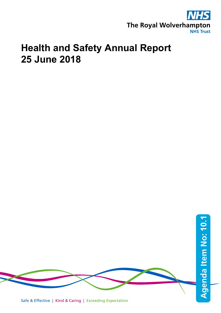

# **Health and Safety Annual Report 25 June 2018**

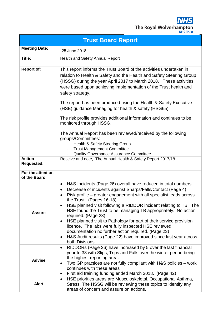

| <b>Trust Board Report</b>                                                                                                                                                                                                                                                                                                                                                                         |                                                                                                                                                                                                                                                                                                                                                                                                                                                                                                                                                                                                                                                                                                                        |  |  |
|---------------------------------------------------------------------------------------------------------------------------------------------------------------------------------------------------------------------------------------------------------------------------------------------------------------------------------------------------------------------------------------------------|------------------------------------------------------------------------------------------------------------------------------------------------------------------------------------------------------------------------------------------------------------------------------------------------------------------------------------------------------------------------------------------------------------------------------------------------------------------------------------------------------------------------------------------------------------------------------------------------------------------------------------------------------------------------------------------------------------------------|--|--|
| <b>Meeting Date:</b>                                                                                                                                                                                                                                                                                                                                                                              | 25 June 2018                                                                                                                                                                                                                                                                                                                                                                                                                                                                                                                                                                                                                                                                                                           |  |  |
| Title:                                                                                                                                                                                                                                                                                                                                                                                            | <b>Health and Safety Annual Report</b>                                                                                                                                                                                                                                                                                                                                                                                                                                                                                                                                                                                                                                                                                 |  |  |
| <b>Report of:</b><br>This report informs the Trust Board of the activities undertaken in<br>relation to Health & Safety and the Health and Safety Steering Group<br>(HSSG) during the year April 2017 to March 2018. These activities<br>were based upon achieving implementation of the Trust health and<br>safety strategy.<br>The report has been produced using the Health & Safety Executive |                                                                                                                                                                                                                                                                                                                                                                                                                                                                                                                                                                                                                                                                                                                        |  |  |
|                                                                                                                                                                                                                                                                                                                                                                                                   | (HSE) guidance Managing for health & safety (HSG65).                                                                                                                                                                                                                                                                                                                                                                                                                                                                                                                                                                                                                                                                   |  |  |
|                                                                                                                                                                                                                                                                                                                                                                                                   | The risk profile provides additional information and continues to be<br>monitored through HSSG.                                                                                                                                                                                                                                                                                                                                                                                                                                                                                                                                                                                                                        |  |  |
|                                                                                                                                                                                                                                                                                                                                                                                                   | The Annual Report has been reviewed/received by the following<br>groups/Committees:<br>Health & Safety Steering Group<br><b>Trust Management Committee</b><br><b>Quality Governance Assurance Committee</b>                                                                                                                                                                                                                                                                                                                                                                                                                                                                                                            |  |  |
| <b>Action</b><br><b>Requested:</b>                                                                                                                                                                                                                                                                                                                                                                | Receive and note, The Annual Health & Safety Report 2017/18                                                                                                                                                                                                                                                                                                                                                                                                                                                                                                                                                                                                                                                            |  |  |
| For the attention<br>of the Board                                                                                                                                                                                                                                                                                                                                                                 |                                                                                                                                                                                                                                                                                                                                                                                                                                                                                                                                                                                                                                                                                                                        |  |  |
| <b>Assure</b>                                                                                                                                                                                                                                                                                                                                                                                     | H&S Incidents (Page 26) overall have reduced in total numbers.<br>٠<br>Decrease of incidents against Sharps/Falls/Contact (Page 4)<br>$\bullet$<br>Risk profile – greater engagement with all specialist leads across<br>٠<br>the Trust. (Pages 16-18)<br>HSE planned visit following a RIDDOR incident relating to TB. The<br>٠<br>HSE found the Trust to be managing TB appropriately. No action<br>required. (Page 23)<br>HSE planned visit to Pathology for part of their service provision<br>٠<br>licence. The labs were fully inspected HSE reviewed<br>documentation no further action required. (Page 23)<br>H&S Audit results (Page 22) have improved since last year across<br>$\bullet$<br>both Divisions. |  |  |
| <b>Advise</b>                                                                                                                                                                                                                                                                                                                                                                                     | RIDDORs (Page 26) have increased by 5 over the last financial<br>٠<br>year to 38 with Slips, Trips and Falls over the winter period being<br>the highest reporting area.<br>Two GP practices are not fully compliant with H&S policies - work<br>٠<br>continues with these areas<br>First aid training funding ended March 2018. (Page 42)<br>٠                                                                                                                                                                                                                                                                                                                                                                        |  |  |
| <b>Alert</b>                                                                                                                                                                                                                                                                                                                                                                                      | HSE priorities areas are Musculoskeletal, Occupational Asthma,<br>٠<br>Stress. The HSSG will be reviewing these topics to identify any<br>areas of concern and assure on actions.                                                                                                                                                                                                                                                                                                                                                                                                                                                                                                                                      |  |  |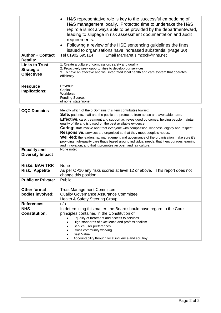| <b>Author + Contact</b><br>Details:<br><b>Links to Trust</b><br><b>Strategic</b> | H&S representative role is key to the successful embedding of<br>$\bullet$<br>H&S management locally. Protected time to undertake the H&S<br>rep role is not always able to be provided by the department/ward,<br>leading to slippage in risk assessment documentation and audit<br>requirements.<br>Following a review of the HSE sentencing guidelines the fines<br>issued to organisations have increased substantial (Page 30)<br>Tel 01902 695114<br>Email Margaret.simcock@nhs.net<br>1. Create a culture of compassion, safety and quality<br>2. Proactively seek opportunities to develop our services                                                                                                                                                            |  |  |
|----------------------------------------------------------------------------------|----------------------------------------------------------------------------------------------------------------------------------------------------------------------------------------------------------------------------------------------------------------------------------------------------------------------------------------------------------------------------------------------------------------------------------------------------------------------------------------------------------------------------------------------------------------------------------------------------------------------------------------------------------------------------------------------------------------------------------------------------------------------------|--|--|
| <b>Objectives</b>                                                                | 3. To have an effective and well integrated local health and care system that operates<br>efficiently                                                                                                                                                                                                                                                                                                                                                                                                                                                                                                                                                                                                                                                                      |  |  |
| <b>Resource</b><br>Implications:                                                 | Revenue:<br>Capital:<br>Workforce:<br>Funding Source:<br>(if none, state 'none')                                                                                                                                                                                                                                                                                                                                                                                                                                                                                                                                                                                                                                                                                           |  |  |
| <b>CQC Domains</b><br><b>Equality and</b>                                        | Identify which of the 5 Domains this item contributes toward:<br>Safe: patients, staff and the public are protected from abuse and avoidable harm.<br><b>Effective:</b> care, treatment and support achieves good outcomes, helping people maintain<br>quality of life and is based on the best available evidence.<br><b>Caring:</b> staff involve and treat everyone with compassion, kindness, dignity and respect.<br>Responsive: services are organised so that they meet people's needs.<br>Well-led: the leadership, management and governance of the organisation make sure it's<br>providing high-quality care that's based around individual needs, that it encourages learning<br>and innovation, and that it promotes an open and fair culture.<br>None noted. |  |  |
| <b>Diversity Impact</b>                                                          |                                                                                                                                                                                                                                                                                                                                                                                                                                                                                                                                                                                                                                                                                                                                                                            |  |  |
| <b>Risks: BAF/TRR</b>                                                            | None                                                                                                                                                                                                                                                                                                                                                                                                                                                                                                                                                                                                                                                                                                                                                                       |  |  |
| <b>Risk: Appetite</b>                                                            | As per OP10 any risks scored at level 12 or above. This report does not<br>change this position.                                                                                                                                                                                                                                                                                                                                                                                                                                                                                                                                                                                                                                                                           |  |  |
| <b>Public or Private:</b>                                                        | Public                                                                                                                                                                                                                                                                                                                                                                                                                                                                                                                                                                                                                                                                                                                                                                     |  |  |
| <b>Other formal</b><br>bodies involved:                                          | <b>Trust Management Committee</b><br><b>Quality Governance Assurance Committee</b><br>Health & Safety Steering Group.                                                                                                                                                                                                                                                                                                                                                                                                                                                                                                                                                                                                                                                      |  |  |
| <b>References</b>                                                                | n/a                                                                                                                                                                                                                                                                                                                                                                                                                                                                                                                                                                                                                                                                                                                                                                        |  |  |
| <b>NHS</b><br><b>Constitution:</b>                                               | In determining this matter, the Board should have regard to the Core<br>principles contained in the Constitution of:<br>Equality of treatment and access to services<br>High standards of excellence and professionalism<br>Service user preferences<br>Cross community working<br><b>Best Value</b><br>Accountability through local influence and scrutiny                                                                                                                                                                                                                                                                                                                                                                                                                |  |  |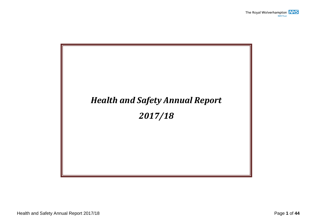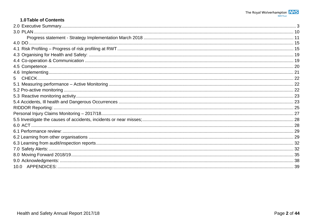### 1.0 Table of Contents

| 5 |  |
|---|--|
|   |  |
|   |  |
|   |  |
|   |  |
|   |  |
|   |  |
|   |  |
|   |  |
|   |  |
|   |  |
|   |  |
|   |  |
|   |  |
|   |  |
|   |  |
|   |  |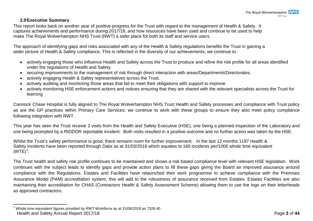#### <span id="page-5-1"></span>**2.0Executive Summary**

<span id="page-5-0"></span>This report looks back on another year of positive progress for the Trust with regard to the management of Health & Safety. It captures achievements and performance during 2017/18, and how resources have been used and continue to be used to help make The Royal Wolverhampton NHS Trust (RWT) a safer place for both its staff and service users.

The approach of identifying gaps and risks associated with any of the Health & Safety regulations benefits the Trust in gaining a wider picture of Health & Safety compliance. This is reflected in the diversity of our achievements, we continue to:

- actively engaging those who influence Health and Safety across the Trust to produce and refine the risk profile for all areas identified under the regulations of Health and Safety.
- securing improvements to the management of risk through direct interaction with areas/Departments/Directorates.
- actively engaging Health & Safety representatives across the Trust.
- actively auditing and monitoring those areas that fail to meet their obligations with support to improve
- actively monitoring HSE enforcement actions and notices ensuring that they are shared with the relevant specialists across the Trust for learning

Cannock Chase Hospital is fully aligned to The Royal Wolverhampton NHS Trust Health and Safety processes and compliance with Trust policy as are the GP practices within Primary Care Services; we continue to work with these groups to ensure they also meet policy compliance following integration with RWT.

This year has seen the Trust receive 2 visits from the Health and Safety Executive (HSE), one being a planned inspection of the Laboratory and one being prompted by a RIDDOR reportable incident. Both visits resulted in a positive outcome and no further action was taken by the HSE.

Whilst the Trust's safety performance is good, there remains room for further improvement. In the last 12 months 1197 Health & Safety incidents have been reported through Datix as at 31/03/2018 which equates to 160 incidents per/1000 whole time equivalent  $(WTE)^1$  $(WTE)^1$ .

The Trust health and safety risk profile continues to be maintained and shows a risk based compliance level with relevant HSE legislation. Work continues with the subject leads to identify gaps and provide action plans to fill these gaps giving the Board an improved assurance around compliance with the Regulations. Estates and Facilities have relaunched their work programme to achieve compliance with the Premises Assurance Model (PAM) accreditation system, this will add to the robustness of assurance received from Estates. Estates Facilities are also maintaining their accreditation for CHAS (Contractors Health & Safety Assessment Scheme) allowing them to use the logo on their letterheads as approved contractors.

Health and Safety Annual Report 2017/18 **Page 3** of 44  $1$  Whole time equivalent figures provided by RWT Workforce as at 31/08/2018 as 7328.40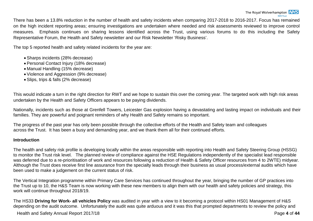There has been a 13.8% reduction in the number of health and safety incidents when comparing 2017-2018 to 2016-2017. Focus has remained on the high incident reporting areas; ensuring investigations are undertaken where needed and risk assessments reviewed to improve control measures. Emphasis continues on sharing lessons identified across the Trust, using various forums to do this including the Safety Representative Forum, the Health and Safety newsletter and our Risk Newsletter 'Risky Business'.

The top 5 reported health and safety related incidents for the year are:

- Sharps incidents (28% decrease)
- Personal Contact Injury (18% decrease)
- Manual Handling (15% decrease)
- Violence and Aggression (9% decrease)
- Slips, trips & falls (2% decrease)

This would indicate a turn in the right direction for RWT and we hope to sustain this over the coming year. The targeted work with high risk areas undertaken by the Health and Safety Officers appears to be paying dividends.

Nationally, incidents such as those at Grenfell Towers, Leicester Gas explosion having a devastating and lasting impact on individuals and their families. They are powerful and poignant reminders of why Health and Safety remains so important.

The progress of the past year has only been possible through the collective efforts of the Health and Safety team and colleagues across the Trust. It has been a busy and demanding year, and we thank them all for their continued efforts.

#### **Introduction**

The health and safety risk profile is developing locally within the areas responsible with reporting into Health and Safety Steering Group (HSSG) to monitor the Trust risk level. The planned review of compliance against the HSE Regulations independently of the specialist lead responsible was deferred due to a re-prioritisation of work and resources following a reduction of Health & Safety Officer resources from 4 to 2WTE) midyear. Although the Trust does receive first line assurance from the specialty leads through their business as usual process/external audits which have been used to make a judgement on the current status of risk.

The Vertical Integration programme within Primary Care Services has continued throughout the year, bringing the number of GP practices into the Trust up to 10, the H&S Team is now working with these new members to align them with our health and safety policies and strategy, this work will continue throughout 2018/19.

The HS33 **Driving for Work- all vehicles Policy** was audited in year with a view to it becoming a protocol within HS01 Management of H&S depending on the audit outcome. Unfortunately the audit was quite arduous and it was this that prompted departments to review the policy and

Health and Safety Annual Report 2017/18 **Page 4** of **44** Page 4 of **44**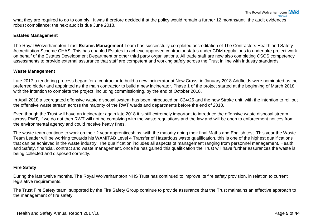what they are required to do to comply. It was therefore decided that the policy would remain a further 12 months/until the audit evidences robust compliance; the next audit is due June 2018.

#### **Estates Management**

The Royal Wolverhampton Trust **Estates Management** Team has successfully completed accreditation of The Contractors Health and Safety Accreditation Scheme CHAS. This has enabled Estates to achieve approved contractor status under CDM regulations to undertake project work on behalf of the Estates Development Department or other third party organisations. All trade staff are now also completing CSCS competency assessments to provide external assurance that staff are competent and working safely across the Trust in line with industry standards.

#### **Waste Management**

Late 2017 a tendering process began for a contractor to build a new incinerator at New Cross, in January 2018 Addfields were nominated as the preferred bidder and appointed as the main contractor to build a new incinerator. Phase 1 of the project started at the beginning of March 2018 with the intention to complete the project, including commissioning, by the end of October 2018.

In April 2018 a segregated offensive waste disposal system has been introduced on C24/25 and the new Stroke unit, with the intention to roll out the offensive waste stream across the majority of the RWT wards and departments before the end of 2018.

Even though the Trust will have an incinerator again late 2018 it is still extremely important to introduce the offensive waste disposal stream across RWT, if we do not then RWT will not be complying with the waste regulations and the law and will be open to enforcement notices from the environmental agency and could receive heavy fines.

The waste team continue to work on their 2 year apprenticeships, with the majority doing their final Maths and English test. This year the Waste Team Leader will be working towards his WAMITAB Level 4 Transfer of Hazardous waste qualification, this is one of the highest qualifications that can be achieved in the waste industry. The qualification includes all aspects of management ranging from personnel management, Health and Safety, financial, contract and waste management, once he has gained this qualification the Trust will have further assurances the waste is being collected and disposed correctly.

#### **Fire Safety**

During the last twelve months, The Royal Wolverhampton NHS Trust has continued to improve its fire safety provision, in relation to current legislative requirements.

The Trust Fire Safety team, supported by the Fire Safety Group continue to provide assurance that the Trust maintains an effective approach to the management of fire safety.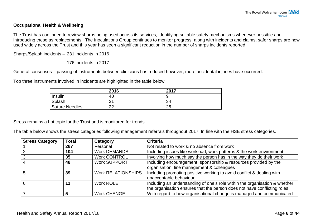#### **Occupational Health & Wellbeing**

The Trust has continued to review sharps being used across its services, identifying suitable safety mechanisms whenever possible and introducing these as replacements. The Inoculations Group continues to monitor progress, along with incidents and claims, safer sharps are now used widely across the Trust and this year has seen a significant reduction in the number of sharps incidents reported

Sharps/Splash incidents – 231 incidents in 2016

176 incidents in 2017

General consensus – passing of instruments between clinicians has reduced however, more accidental injuries have occurred.

Top three instruments involved in incidents are highlighted in the table below:

|                       | 2016          | 2017 |
|-----------------------|---------------|------|
| Insulin               | 40            |      |
| Splash                | 31            | 34   |
| <b>Suture Needles</b> | $\Omega$<br>ᅩ | 25   |

Stress remains a hot topic for the Trust and is monitored for trends.

The table below shows the stress categories following management referrals throughout 2017. In line with the HSE stress categories.

| <b>Stress Category</b> | <b>Total</b> | Category                  | <b>Criteria</b>                                                            |
|------------------------|--------------|---------------------------|----------------------------------------------------------------------------|
|                        | 267          | Personal                  | Not related to work & no absence from work                                 |
|                        | 104          | <b>Work DEMANDS</b>       | Including issues like workload, work patterns & the work environment       |
|                        | 35           | <b>Work CONTROL</b>       | Involving how much say the person has in the way they do their work        |
|                        | 48           | <b>Work SUPPORT</b>       | Including encouragement, sponsorship & resources provided by the           |
|                        |              |                           | organisation, line management & colleagues                                 |
|                        | 39           | <b>Work RELATIONSHIPS</b> | Including promoting positive working to avoid conflict & dealing with      |
|                        |              |                           | unacceptable behaviour                                                     |
|                        | 11           | Work ROLE                 | Including an understanding of one's role within the organisation & whether |
|                        |              |                           | the organisation ensures that the person does not have conflicting roles   |
|                        |              | <b>Work CHANGE</b>        | With regard to how organisational change is managed and communicated       |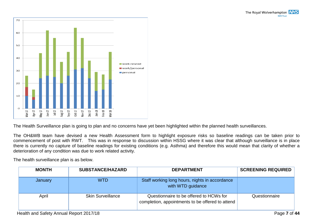

The Health Surveillance plan is going to plan and no concerns have yet been highlighted within the planned health surveillances.

The OH&WB team have devised a new Health Assessment form to highlight exposure risks so baseline readings can be taken prior to commencement of post with RWT. This was in response to discussion within HSSG where it was clear that although surveillance is in place there is currently no capture of baseline readings for existing conditions (e.g. Asthma) and therefore this would mean that clarity of whether a deterioration of any condition was due to work related activity.

The health surveillance plan is as below.

| <b>MONTH</b> | <b>SUBSTANCE/HAZARD</b>  | <b>DEPARTMENT</b>                                                                           | <b>SCREENING REQUIRED</b> |
|--------------|--------------------------|---------------------------------------------------------------------------------------------|---------------------------|
| January      | <b>WTD</b>               | Staff working long hours, nights in accordance<br>with WTD guidance                         |                           |
| April        | <b>Skin Surveillance</b> | Questionnaire to be offered to HCWs for<br>completion, appointments to be offered to attend | Questionnaire             |

Health and Safety Annual Report 2017/18 Page **7** of **44**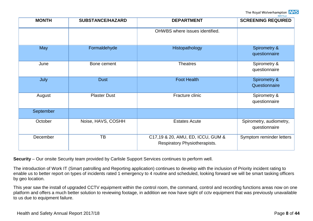The Royal Wolverhamptor **VHS** 

| <b>MONTH</b> | <b>SUBSTANCE/HAZARD</b> | <b>DEPARTMENT</b>                                                  | <b>NHS Trust</b><br><b>SCREENING REQUIRED</b> |
|--------------|-------------------------|--------------------------------------------------------------------|-----------------------------------------------|
|              |                         | OHWBS where issues identified.                                     |                                               |
| May          | Formaldehyde            | Histopathology                                                     | <b>Spirometry &amp;</b><br>questionnaire      |
| June         | Bone cement             | <b>Theatres</b>                                                    | Spirometry &<br>questionnaire                 |
| July         | <b>Dust</b>             | <b>Foot Health</b>                                                 | Spirometry &<br>Questionnaire                 |
| August       | <b>Plaster Dust</b>     | Fracture clinic                                                    | Spirometry &<br>questionnaire                 |
| September    |                         |                                                                    |                                               |
| October      | Noise, HAVS, COSHH      | <b>Estates Acute</b>                                               | Spirometry, audiometry,<br>questionnaire      |
| December     | TB                      | C17,19 & 20, AMU, ED, ICCU, GUM &<br>Respiratory Physiotherapists. | Symptom reminder letters                      |

**Security** – Our onsite Security team provided by Carlisle Support Services continues to perform well.

The introduction of Work IT (Smart patrolling and Reporting application) continues to develop with the inclusion of Priority incident rating to enable us to better report on types of incidents rated 1 emergency to 4 routine and scheduled, looking forward we will be smart tasking officers by geo location.

This year saw the install of upgraded CCTV equipment within the control room, the command, control and recording functions areas now on one platform and offers a much better solution to reviewing footage, in addition we now have sight of cctv equipment that was previously unavailable to us due to equipment failure.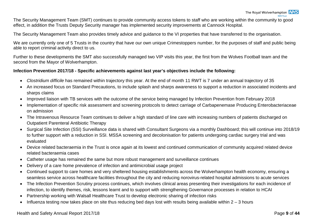The Security Management Team (SMT) continues to provide community access tokens to staff who are working within the community to good effect, in addition the Trusts Deputy Security manager has implemented security improvements at Cannock Hospital.

The Security Management Team also provides timely advice and guidance to the VI properties that have transferred to the organisation.

We are currently only one of 5 Trusts in the country that have our own unique Crimestoppers number, for the purposes of staff and public being able to report criminal activity direct to us.

Further to these developments the SMT also successfully managed two VIP visits this year, the first from the Wolves Football team and the second from the Mayor of Wolverhampton.

#### **Infection Prevention 2017/18 - Specific achievements against last year's objectives include the following:**

- *Clostridium difficile* has remained within trajectory this year. At the end of month 11 RWT is 7 under an annual trajectory of 35
- An increased focus on Standard Precautions, to include splash and sharps awareness to support a reduction in associated incidents and sharps claims
- Improved liaison with TB services with the outcome of the service being managed by Infection Prevention from February 2018
- Implementation of specific risk assessment and screening protocols to detect carriage of Carbapenemase Producing Enterobacteriaceae on admission
- The Intravenous Resource Team continues to deliver a high standard of line care with increasing numbers of patients discharged on Outpatient Parenteral Antibiotic Therapy
- Surgical Site Infection (SSI) Surveillance data is shared with Consultant Surgeons via a monthly Dashboard; this will continue into 2018/19 to further support with a reduction in SSI. MSSA screening and decolonisation for patients undergoing cardiac surgery trial and was evaluated
- Device related bacteraemia in the Trust is once again at its lowest and continued communication of community acquired related device related bacteraemia cases
- Catheter usage has remained the same but more robust management and surveillance continues
- Delivery of a care home prevalence of infection and antimicrobial usage project
- Continued support to care homes and very sheltered housing establishments across the Wolverhampton health economy, ensuring a seamless service across healthcare facilities throughout the city and reducing norovirus-related hospital admissions to acute services
- The Infection Prevention Scrutiny process continues, which involves clinical areas presenting their investigations for each incidence of infection, to identify themes, risk, lessons learnt and to support with strengthening Governance processes in relation to HCAI
- Partnership working with Walsall Healthcare Trust to develop electronic sharing of infection risks
- Influenza testing now takes place on site thus reducing bed days lost with results being available within  $2 3$  hours

#### Health and Safety Annual Report 2017/18 **Page 9** of 44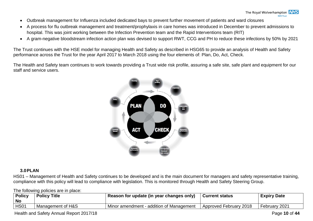- Outbreak management for Influenza included dedicated bays to prevent further movement of patients and ward closures
- A process for flu outbreak management and treatment/prophylaxis in care homes was introduced in December to prevent admissions to hospital. This was joint working between the Infection Prevention team and the Rapid Interventions team (RIT)
- A gram-negative bloodstream infection action plan was devised to support RWT, CCG and PH to reduce these infections by 50% by 2021

The Trust continues with the HSE model for managing Health and Safety as described in HSG65 to provide an analysis of Health and Safety performance across the Trust for the year April 2017 to March 2018 using the four elements of: Plan, Do, Act, Check.

The Health and Safety team continues to work towards providing a Trust wide risk profile, assuring a safe site, safe plant and equipment for our staff and service users.



#### <span id="page-12-0"></span>**3.0PLAN**

HS01 – Management of Health and Safety continues to be developed and is the main document for managers and safety representative training, compliance with this policy will lead to compliance with legislation. This is monitored through Health and Safety Steering Group.

The following policies are in place:

| <b>Policy</b><br><b>No</b> | <b>Policy Title</b> | Reason for update (in year changes only) | <b>Current status</b>  | <b>Expiry Date</b> |
|----------------------------|---------------------|------------------------------------------|------------------------|--------------------|
| HS01                       | Management of H&S   | Minor amendment - addition of Management | Approved February 2018 | February 2021      |

Health and Safety Annual Report 2017/18 **Page 10** of 44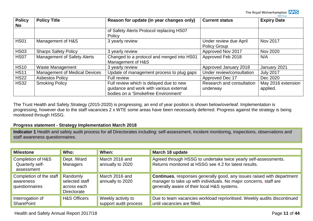The Royal Wolverhampton **NHS** 

| <b>Policy</b><br>No. | <b>Policy Title</b>                  | Reason for update (in year changes only)                                                                                  | <b>Current status</b>                         | <b>Expiry Date</b>             |
|----------------------|--------------------------------------|---------------------------------------------------------------------------------------------------------------------------|-----------------------------------------------|--------------------------------|
|                      |                                      | of Safety Alerts Protocol replacing HS07<br>Policy                                                                        |                                               |                                |
| <b>HS01</b>          | Management of H&S                    | 3 yearly review                                                                                                           | Under review due April<br><b>Policy Group</b> | Nov 2017                       |
| <b>HS03</b>          | <b>Sharps Safety Policy</b>          | 3 yearly review                                                                                                           | Approved Nov 2017                             | <b>Nov 2020</b>                |
| <b>HS07</b>          | <b>Management of Safety Alerts</b>   | Changed to a protocol and merged into HS01<br>Management of H&S                                                           | Approved Feb 2018                             | N/A                            |
| <b>HS10</b>          | <b>Waste Management</b>              | 3 yearly review                                                                                                           | Approved January 2018                         | January 2021                   |
| <b>HS11</b>          | <b>Management of Medical Devices</b> | Update of management process to plug gaps                                                                                 | Under review/consultation                     | <b>July 2017</b>               |
| <b>HS22</b>          | <b>Asbestos Policy</b>               | Full review                                                                                                               | Approved Dec 17                               | Dec 2020                       |
| <b>HS32</b>          | <b>Smoking Policy</b>                | Full review which is delayed due to new<br>guidance and work with various external<br>bodies on a 'Smokefree Environment' | Research and consultation<br>underway         | May 2016 extension<br>applied. |

The Trust Health and Safety Strategy (2015-2020) is progressing, an end of year position is shown below/overleaf. Implementation is progressing, however due to the staff vacancies 2 x WTE some areas have been necessarily deferred. Progress against the strategy is being monitored through HSSG.

#### <span id="page-13-0"></span>**Progress statement - Strategy Implementation March 2018**

**Indicator 1** Health and safety audit process for all Directorates including: self-assessment, incident monitoring, inspections, observations and staff awareness questionnaires.

| <b>Milestone</b>                                              | Who:                                                            | When:                                       | March 18 update                                                                                                                                                                                   |
|---------------------------------------------------------------|-----------------------------------------------------------------|---------------------------------------------|---------------------------------------------------------------------------------------------------------------------------------------------------------------------------------------------------|
| <b>Completion of H&amp;S</b><br>Quarterly self-<br>assessment | Dept. /Ward<br><b>Managers</b>                                  | March 2016 and<br>annually to 2020          | Agreed through HSSG to undertake twice yearly self-assessments.<br>Returns monitored at HSSG see 4.2 for latest results.                                                                          |
| Completion of the staff<br>awareness<br>questionnaires        | Randomly<br>selected staff<br>across each<br><b>Directorate</b> | March 2016 and<br>annually to 2020          | <b>Continues, responses generally good, any issues raised with department</b><br>manager to take up with individuals. No major concerns, staff are<br>generally aware of their local H&S systems. |
| Interrogation of<br><b>SharePoint</b>                         | <b>H&amp;S Officers</b>                                         | Weekly activity to<br>support audit process | Due to team vacancies workload reprioritised. Weekly audits discontinued<br>until vacancies are filled.                                                                                           |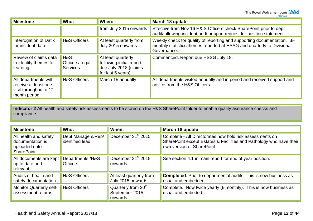The Royal Wolverhampton **NHS** 

| <b>Milestone</b>                                                                       | Who:                                     | When:                                                                                        | March 18 update                                                                                                                                                  |
|----------------------------------------------------------------------------------------|------------------------------------------|----------------------------------------------------------------------------------------------|------------------------------------------------------------------------------------------------------------------------------------------------------------------|
|                                                                                        |                                          | from July 2015 onwards                                                                       | Effective from Nov 16 H& S Officers check SharePoint prior to dept<br>audit/following incident and/ or upon request for position statement                       |
| Interrogation of Datix<br>for incident data                                            | <b>H&amp;S Officers</b>                  | At least quarterly from<br>July 2015 onwards                                                 | Weekly check for quality of reporting and supporting documentation. Bi-<br>monthly statistics/themes reported at HSSG and quarterly to Divisional<br>Governance. |
| Review of claims data<br>to identify themes for<br>learning.                           | H&S<br>Officers/Legal<br><b>Services</b> | At least quarterly<br>following initial report<br>due July 2018 (claims<br>for last 5 years) | Commenced. Report due HSSG July 18.                                                                                                                              |
| All departments will<br>receive at least one<br>visit throughout a 12<br>month period. | <b>H&amp;S Officers</b>                  | March 15 annually                                                                            | All departments visited annually and in period and received support and<br>advice from the H&S Officers                                                          |

**Indicator 2** All health and safety risk assessments to be stored on the H&S SharePoint folder to enable quality assurance checks and compliance

| <b>Milestone</b>                                                                | Who:                                  | When:                                                        | March 18 update                                                                                                                                              |
|---------------------------------------------------------------------------------|---------------------------------------|--------------------------------------------------------------|--------------------------------------------------------------------------------------------------------------------------------------------------------------|
| All health and safety<br>documentation is<br>uploaded onto<br><b>SharePoint</b> | Dept Managers/Rep/<br>identified lead | December 31 <sup>st</sup> 2015                               | Complete - All Directorates now hold risk assessments on<br>SharePoint except Estates & Facilities and Pathology who have their<br>own version of SharePoint |
| All documents are kept<br>up to date and<br>relevant                            | Departments /H&S<br><b>Officers</b>   | December 31 <sup>st</sup> 2015<br>onwards                    | See section 4.1 in main report for end of year position.                                                                                                     |
| Audits of health and<br>safety documentation                                    | <b>H&amp;S Officers</b>               | At least quarterly from<br>July 2015 onwards                 | <b>Completed.</b> Prior to departmental audits. This is now business as<br>usual and embedded.                                                               |
| <b>Monitor Quarterly self-</b><br>assessment returns                            | <b>H&amp;S Officers</b>               | Quarterly from 30 <sup>th</sup><br>September 2015<br>onwards | Complete. Now twice yearly (6 monthly). This is now business as<br>usual and embeded.                                                                        |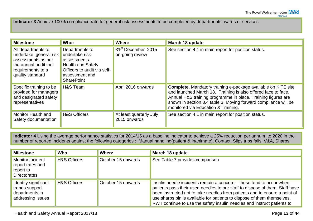**Indicator 3** Achieve 100% compliance rate for general risk assessments to be completed by departments, wards or services

| <b>Milestone</b>                                                                                                                     | Who:                                                                                                                                               | When:                                             | March 18 update                                                                                                                                                                                                                                                                                                 |
|--------------------------------------------------------------------------------------------------------------------------------------|----------------------------------------------------------------------------------------------------------------------------------------------------|---------------------------------------------------|-----------------------------------------------------------------------------------------------------------------------------------------------------------------------------------------------------------------------------------------------------------------------------------------------------------------|
| All departments to<br>undertake general risk<br>assessments as per<br>the annual audit tool<br>requirements to a<br>quality standard | Departments to<br>undertake risk<br>assessments.<br><b>Health and Safety</b><br>Officers to audit via self-<br>assessment and<br><b>SharePoint</b> | 31 <sup>st</sup> December 2015<br>on-going review | See section 4.1 in main report for position status.                                                                                                                                                                                                                                                             |
| Specific training to be<br>provided for managers<br>and designated safety<br>representatives                                         | H&S Team                                                                                                                                           | April 2016 onwards                                | <b>Complete.</b> Mandatory training e-package available on KITE site<br>and launched March 18. Training is also offered face to face.<br>Annual H&S training programme in place. Training figures are<br>shown in section 3.4 table 3. Moving forward compliance will be<br>monitored via Education & Training. |
| <b>Monitor Health and</b><br>Safety documentation                                                                                    | <b>H&amp;S Officers</b>                                                                                                                            | At least quarterly July<br>2015 onwards           | See section 4.1 in main report for position status.                                                                                                                                                                                                                                                             |

**Indicator 4** Using the average performance statistics for 2014/15 as a baseline indicator to achieve a 25% reduction per annum to 2020 in the number of reported incidents against the following categories : Manual handling(patient & inanimate), Contact, Slips trips falls, V&A, Sharps

| <b>Milestone</b>                                                                | Who:                    | When:              | March 18 update                                                                                                                                                                                                                                                                                                                                                                          |
|---------------------------------------------------------------------------------|-------------------------|--------------------|------------------------------------------------------------------------------------------------------------------------------------------------------------------------------------------------------------------------------------------------------------------------------------------------------------------------------------------------------------------------------------------|
| <b>Monitor incident</b><br>report rates and<br>report to<br><b>Directorates</b> | <b>H&amp;S Officers</b> | October 15 onwards | See Table 7 provides comparison                                                                                                                                                                                                                                                                                                                                                          |
| Identify significant<br>trends support<br>departments in<br>addressing issues   | <b>H&amp;S Officers</b> | October 15 onwards | Insulin needle incidents remain a concern – these tend to occur when<br>patients pass their used needles to our staff to dispose of them. Staff have<br>been instructed not to take needles from patients and to ensure a point of<br>use sharps bin is available for patients to dispose of them themselves.<br>RWT continue to use the safety insulin needles and instruct patients to |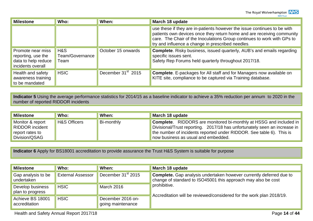The Royal Wolverhampton **NHS** 

| <b>Milestone</b>                                                                    | Who:                           | When:                          | March 18 update                                                                                                                                                                                                                                                                    |  |  |  |  |
|-------------------------------------------------------------------------------------|--------------------------------|--------------------------------|------------------------------------------------------------------------------------------------------------------------------------------------------------------------------------------------------------------------------------------------------------------------------------|--|--|--|--|
|                                                                                     |                                |                                | use these if they are in-patients however the issue continues to be with<br>patients own devices once they return home and are receiving community<br>care. The Chair of the Inoculations Group continues to work with GPs to<br>try and influence a change in prescribed needles. |  |  |  |  |
| Promote near miss<br>reporting, use the<br>data to help reduce<br>incidents overall | H&S<br>Team/Governance<br>Team | October 15 onwards             | <b>Complete.</b> Risky business, issued quarterly, AUB's and emails regarding<br>specific issues sent.<br>Safety Rep Forums held quarterly throughout 2017/18.                                                                                                                     |  |  |  |  |
| Health and safety<br>awareness training<br>to be mandated                           | <b>HSIC</b>                    | December 31 <sup>st</sup> 2015 | <b>Complete.</b> E-packages for All staff and for Managers now available on<br>KITE site, compliance to be captured via Training database.                                                                                                                                         |  |  |  |  |

**Indicator 5** Using the average performance statistics for 2014/15 as a baseline indicator to achieve a 35% reduction per annum to 2020 in the number of reported RIDDOR incidents

| <b>Milestone</b>                                                        | Who:                    | When:      | March 18 update                                                                                                                                                                                                                                                       |
|-------------------------------------------------------------------------|-------------------------|------------|-----------------------------------------------------------------------------------------------------------------------------------------------------------------------------------------------------------------------------------------------------------------------|
| Monitor & report<br>RIDDOR incident<br>report rates to<br>Division/QSAG | <b>H&amp;S Officers</b> | Bi-monthly | <b>Complete.</b> RIDDORS are monitored bi-monthly at HSSG and included in<br>Divisional/Trust reporting. 2017/18 has unfortunately seen an increase in<br>the number of incidents reported under RIDDOR. See table 6). This is<br>now business as usual and embedded. |

**Indicator 6** Apply for BS18001 accreditation to provide assurance the Trust H&S System is suitable for purpose

| <b>Milestone</b>                     | Who:                     | When:                                  | March 18 update                                                                                                                             |
|--------------------------------------|--------------------------|----------------------------------------|---------------------------------------------------------------------------------------------------------------------------------------------|
| Gap analysis to be<br>undertaken     | <b>External Assessor</b> | December 31 <sup>st</sup> 2015         | <b>Complete.</b> Gap analysis undertaken however currently deferred due to<br>change of standard to ISO45001 this approach may also be cost |
| Develop business<br>plan to progress | <b>HSIC</b>              | March 2016                             | prohibitive.                                                                                                                                |
| Achieve BS 18001<br>accreditation    | <b>HSIC</b>              | December 2016 on-<br>going maintenance | Accreditation will be reviewed/considered for the work plan 2018/19.                                                                        |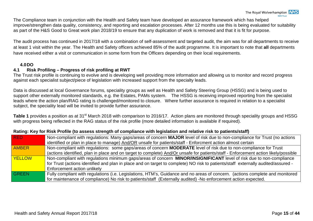The Compliance team in conjunction with the Health and Safety team have developed an assurance framework which has helped improve/strengthen data quality, consistency, and reporting and escalation processes. After 12 months use this is being evaluated for suitability as part of the H&S Good to Great work plan 2018/19 to ensure that any duplication of work is removed and that it is fit for purpose.

The audit process has continued in 2017/18 with a combination of self-assessment and targeted audit, the aim was for all departments to receive at least 1 visit within the year. The Health and Safety officers achieved 85% of the audit programme. It is important to note that **all** departments have received either a visit or communication in some form from the Officers depending on their local requirements.

#### <span id="page-17-1"></span><span id="page-17-0"></span>**4.0DO 4.1 Risk Profiling – Progress of risk profiling at RWT**

The Trust risk profile is continuing to evolve and is developing well providing more information and allowing us to monitor and record progress against each specialist subject/piece of legislation with increased support from the specialty leads.

Data is discussed at local Governance forums, speciality groups as well as Health and Safety Steering Group (HSSG) and is being used to support other externally monitored standards, e.g. the Estates, PAMs system. The HSSG is receiving improved reporting from the specialist leads where the action plan/RAG rating is challenged/monitored to closure. Where further assurance is required in relation to a specialist subject, the speciality lead will be invited to provide further assurance.

**Table 1** provides a position as at 31<sup>st</sup> March 2018 with comparison to 2016/17. Action plans are monitored through speciality groups and HSSG with progress being reflected in the RAG status of the risk profile (more detailed information is available if required).

| <b>RED</b>    | Non-compliant with regulations: Many gaps/areas of concern MAJOR level of risk due to non-compliance for Trust (no actions          |
|---------------|-------------------------------------------------------------------------------------------------------------------------------------|
|               | identified or plan in place to manage) And/OR unsafe for patients/staff - Enforcment action almost certain                          |
| <b>AMBER</b>  | Non-compliant with regulations: some gaps/areas of concern MODERATE level of risk due to non-compliance for Trust                   |
|               | (actions identified, plan in place and on target to complete) And/Or unsafe for patients/staff - Enforcement action likely/possible |
| <b>YELLOW</b> | Non-compliant with regulations minimum gaps/areas of concern MINOR/INSIGNIFICANT level of risk due to non-compliance                |
|               | for Trust (actions identified and plan in place and on target to complete) NO risk to patients/staff externally audited/assured -   |
|               | Enforcement action unlikely                                                                                                         |
| <b>GREEN</b>  | Fully compliant with regulations (i.e. Legislations, HTM's, Guidance and no areas of concern. (actions complete and monitored       |
|               | for maintenance of compliance) No risk to patients/staff (Externally audited) -No enforcement action expected.                      |

#### **Rating: Key for Risk Profile (to assess strength of compliance with legislation and relative risk to patients/staff)**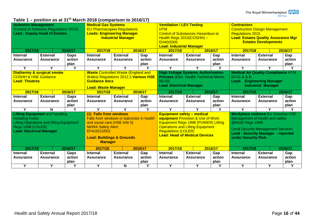## **Table 1 – position as at 31st March 2018 (comparison to 2016/17)**

| <b>Asbestos Management</b>                                                                                                                                           | (Control of Asbestos Regulations 2012)<br><b>Lead: Deputy Head of Estates</b> |                        | <b>Medical Gas Systems</b><br><b>EU Pharmacopeia Regulations</b><br><b>Leads: Engineering Manager</b><br><b>Industrial Manager</b>                                                                        |                                     |                       | <b>Ventilation / LEV Testing</b><br><b>HTM</b><br><b>Control of Substances Hazardous to</b><br>Health Regs 2013(COSHH) -<br>EH40/2005<br><b>Lead: Industrial Manager</b> |                                                                                                                                                                                           |                       | <b>Contractors</b><br><b>Construction Design Management</b><br><b>Regulations 2015</b><br><b>Lead: Estates Quality Assurance Mgr</b><br><b>Estates Developments</b> |                                                                                                                                                                                                                   |                       |  |
|----------------------------------------------------------------------------------------------------------------------------------------------------------------------|-------------------------------------------------------------------------------|------------------------|-----------------------------------------------------------------------------------------------------------------------------------------------------------------------------------------------------------|-------------------------------------|-----------------------|--------------------------------------------------------------------------------------------------------------------------------------------------------------------------|-------------------------------------------------------------------------------------------------------------------------------------------------------------------------------------------|-----------------------|---------------------------------------------------------------------------------------------------------------------------------------------------------------------|-------------------------------------------------------------------------------------------------------------------------------------------------------------------------------------------------------------------|-----------------------|--|
| 2017/18                                                                                                                                                              |                                                                               | 2016/17                | 2017/18                                                                                                                                                                                                   | 2016/17                             |                       | 2017/18                                                                                                                                                                  |                                                                                                                                                                                           | 2016/17               | 2017/18                                                                                                                                                             |                                                                                                                                                                                                                   | 2016/17               |  |
| <b>Internal</b>                                                                                                                                                      | <b>External</b>                                                               | Gaps                   | <b>Internal</b>                                                                                                                                                                                           | <b>External</b>                     | Gap                   | Internal                                                                                                                                                                 | <b>External</b>                                                                                                                                                                           | Gap                   | <b>Internal</b>                                                                                                                                                     | <b>External</b>                                                                                                                                                                                                   | Gap                   |  |
| <b>Assurance</b>                                                                                                                                                     | <b>Assurance</b>                                                              | action                 | <b>Assurance</b>                                                                                                                                                                                          | <b>Assurance</b>                    | action                | <b>Assurance</b>                                                                                                                                                         | <b>Assurance</b>                                                                                                                                                                          | action                | <b>Assurance</b>                                                                                                                                                    | <b>Assurance</b>                                                                                                                                                                                                  | action                |  |
|                                                                                                                                                                      |                                                                               | plan                   |                                                                                                                                                                                                           |                                     | plan                  |                                                                                                                                                                          |                                                                                                                                                                                           | plan                  |                                                                                                                                                                     |                                                                                                                                                                                                                   | plan                  |  |
| Y                                                                                                                                                                    | Y                                                                             | Y                      | Υ                                                                                                                                                                                                         | Y                                   | Y                     | Y                                                                                                                                                                        | Y                                                                                                                                                                                         | Y                     | Y                                                                                                                                                                   | Y                                                                                                                                                                                                                 | Y                     |  |
| <b>Diathermy &amp; surgical smoke</b><br><b>COSHH &amp; HSE Guidance</b><br><b>Lead: Theatres</b>                                                                    |                                                                               |                        | <b>Waste Controlled Waste (England and</b><br><b>Wales) Regulations 2012,3 Various HSE</b><br><b>Guidance docs</b><br><b>Lead: Waste Manager</b>                                                          |                                     |                       | <b>High Voltage Systems Authorisation</b><br><b>Process (Elec. Health Technical Memo)</b><br>$06-03$<br><b>Lead: Electrical Manager</b>                                  |                                                                                                                                                                                           |                       | <b>Medical Air Quality Compliance HTM</b><br>02-01 A & B<br><b>Engineering Manager</b><br>Lead:<br><b>Industrial Manager</b>                                        |                                                                                                                                                                                                                   |                       |  |
| 2017/18                                                                                                                                                              |                                                                               | 2016/17                | 2016/17<br>2017/18                                                                                                                                                                                        |                                     | 2016/17<br>2017/18    |                                                                                                                                                                          |                                                                                                                                                                                           | 2017/18<br>2016/17    |                                                                                                                                                                     |                                                                                                                                                                                                                   |                       |  |
| <b>Internal</b><br><b>Assurance</b>                                                                                                                                  | <b>External</b><br><b>Assurance</b>                                           | Gaps<br>action<br>plan | <b>Internal</b><br><b>Assurance</b>                                                                                                                                                                       | <b>External</b><br><b>Assurance</b> | Gap<br>action<br>plan | <b>Internal</b><br><b>Assurance</b>                                                                                                                                      | <b>External</b><br><b>Assurance</b>                                                                                                                                                       | Gap<br>action<br>plan | <b>Internal</b><br><b>Assurance</b>                                                                                                                                 | <b>External</b><br><b>Assurance</b>                                                                                                                                                                               | Gap<br>action<br>plan |  |
| Y                                                                                                                                                                    | N                                                                             | Y                      | Y                                                                                                                                                                                                         | Y                                   | Y                     | Y                                                                                                                                                                        | Y                                                                                                                                                                                         | Y                     | Y                                                                                                                                                                   | Y                                                                                                                                                                                                                 | Y                     |  |
| <b>Lifting Equipment and handling</b><br>including hoists<br><b>Lifting Operations and lifting Equipment</b><br>Regs 1998 (LOLER)<br><b>Lead: Electrical Manager</b> |                                                                               |                        | (1) Falls from windows<br>Falls from windows or balconies in health<br>and social care (HSE Info 5)<br><b>MHRA Safety Alert</b><br>EFA/2012/001<br><b>Lead: Buildings &amp; Grounds</b><br><b>Manager</b> |                                     |                       | <b>Equipment safety - medical</b>                                                                                                                                        | equipment Provision & Use of Work<br>Equipment Regs 1998 (PUWER) Lifting<br><b>Operations and Lifting Equipment</b><br><b>Regulations (LOLER)</b><br><b>Lead: Head of Medical Devices</b> |                       |                                                                                                                                                                     | <b>Workplace violence EU Directive HSE</b><br>Management of health and safety<br>@Work Regs 1999<br><b>Local Security Management Services</b><br><b>Lead: Security Manager - reported</b><br>under Security Risk. |                       |  |
| 2017/18                                                                                                                                                              |                                                                               | 2016/17                | 2017/18                                                                                                                                                                                                   |                                     | 2016/17               | 2017/18                                                                                                                                                                  |                                                                                                                                                                                           | 2016/17               | 2017/18                                                                                                                                                             |                                                                                                                                                                                                                   | 2016/17               |  |
| <b>Internal</b>                                                                                                                                                      | <b>External</b>                                                               | Gaps                   | <b>Internal</b>                                                                                                                                                                                           | <b>External</b>                     | Gap                   | Internal                                                                                                                                                                 | <b>External</b>                                                                                                                                                                           | Gap                   | <b>Internal</b>                                                                                                                                                     | <b>External</b>                                                                                                                                                                                                   | Gap                   |  |
| <b>Assurance</b>                                                                                                                                                     | <b>Assurance</b>                                                              | action                 | <b>Assurance</b>                                                                                                                                                                                          | <b>Assurance</b>                    | action                | <b>Assurance</b>                                                                                                                                                         | <b>Assurance</b>                                                                                                                                                                          | action                | <b>Assurance</b>                                                                                                                                                    | <b>Assurance</b>                                                                                                                                                                                                  | action                |  |
|                                                                                                                                                                      |                                                                               | plan                   |                                                                                                                                                                                                           |                                     | plan                  |                                                                                                                                                                          |                                                                                                                                                                                           | plan                  |                                                                                                                                                                     |                                                                                                                                                                                                                   | plan                  |  |
| Y                                                                                                                                                                    | Y                                                                             | Y                      | Y                                                                                                                                                                                                         | N                                   | Y                     | Y                                                                                                                                                                        | Y                                                                                                                                                                                         | Υ                     | Y                                                                                                                                                                   | Y                                                                                                                                                                                                                 | Y                     |  |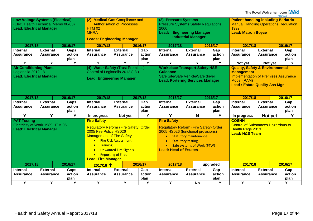The Royal Wolverhampton **NHS** 

| <b>Low Voltage Systems (Electrical)</b><br>(2) Medical Gas Compliance and<br>(3) Pressure Systems<br>(Elec. Health Technical Memo 06-03)<br><b>Authorisation of Processes</b><br><b>Pressure Systems Safety Regulations</b><br><b>Lead: Electrical Manager</b><br>2000<br><b>HTM 02</b><br><b>MHRA</b><br>Lead:<br><b>Engineering Manager</b><br><b>Industrial Manager</b><br><b>Leads: Engineering Manager</b>                                                                                                                                                                                                                                         | <b>Patient handling including Bariatric</b><br><b>Manual Handling Operations Regulation</b><br>1992<br><b>Lead: Matron Boyce</b>                                     |                                           |                       |
|---------------------------------------------------------------------------------------------------------------------------------------------------------------------------------------------------------------------------------------------------------------------------------------------------------------------------------------------------------------------------------------------------------------------------------------------------------------------------------------------------------------------------------------------------------------------------------------------------------------------------------------------------------|----------------------------------------------------------------------------------------------------------------------------------------------------------------------|-------------------------------------------|-----------------------|
| 2016/17<br>2017/18<br>2017/18<br>2016/17<br>2016/17<br>2017/18                                                                                                                                                                                                                                                                                                                                                                                                                                                                                                                                                                                          | 2016/17<br>2017/18                                                                                                                                                   |                                           |                       |
| <b>Internal</b><br><b>External</b><br><b>External</b><br>Internal<br><b>External</b><br>Gaps<br><b>Internal</b><br>Gap<br>Gap                                                                                                                                                                                                                                                                                                                                                                                                                                                                                                                           | <b>Internal</b>                                                                                                                                                      | <b>External</b>                           | Gap                   |
| action<br>action<br>action<br>Assurance<br><b>Assurance</b><br><b>Assurance</b><br><b>Assurance</b><br><b>Assurance</b><br><b>Assurance</b>                                                                                                                                                                                                                                                                                                                                                                                                                                                                                                             | <b>Assurance</b>                                                                                                                                                     | <b>Assurance</b>                          | action                |
| plan<br>plan<br>plan                                                                                                                                                                                                                                                                                                                                                                                                                                                                                                                                                                                                                                    |                                                                                                                                                                      |                                           | plan                  |
| Y<br>Y<br>Y<br>Y<br>Y<br>Y<br>Y<br>Y<br>Y                                                                                                                                                                                                                                                                                                                                                                                                                                                                                                                                                                                                               | Not yet                                                                                                                                                              | Not yet                                   | Υ                     |
| (4) Water Safety (Trust Premises)<br><b>Air Conditioning Plant.</b><br><b>Workplace Transport Safety HSE</b><br>Legionella 2012 L8<br>Control of Legionella 2012 (L8.)<br><b>Guidance</b><br><b>Lead: Electrical Manager</b><br>Safe Site/Safe Vehicle/Safe driver<br><b>Lead: Engineering Manager</b><br><b>Lead: Portering Services Manager</b>                                                                                                                                                                                                                                                                                                       | <b>Quality, Safety &amp; Environmental</b><br><b>Management</b><br><b>Implementation of Premises Assurance</b><br>Model (PAM)<br><b>Lead: Estate Quality Ass Mgr</b> |                                           |                       |
| 2017/18<br>2017/18<br>2016/17<br>2017/18<br>2016/17<br>2016/17                                                                                                                                                                                                                                                                                                                                                                                                                                                                                                                                                                                          | 2016/17<br>2017/18                                                                                                                                                   |                                           |                       |
| <b>Internal</b><br><b>External</b><br>Gaps<br><b>Internal</b><br><b>External</b><br>Gap<br><b>Internal</b><br><b>External</b><br>Gap<br>action<br>action<br>action<br><b>Assurance</b><br><b>Assurance</b><br><b>Assurance</b><br><b>Assurance</b><br><b>Assurance</b><br><b>Assurance</b><br>plan<br>plan<br>plan                                                                                                                                                                                                                                                                                                                                      | <b>Internal</b><br><b>Assurance</b>                                                                                                                                  | <b>External</b><br><b>Assurance</b>       | Gap<br>action<br>plan |
| Y<br>Y<br>Y<br>Y<br>Y<br>Y<br>N<br>Not yet<br>In progress                                                                                                                                                                                                                                                                                                                                                                                                                                                                                                                                                                                               | In progress                                                                                                                                                          | Not yet                                   | Y                     |
| <b>Fire Safety</b><br><b>Fire Safety</b><br><b>PAT Testing</b><br>Electricity at Work 1989 HTM 06<br><b>Regulatory Reform (Fire Safety) Order</b><br><b>Regulatory Reform (Fire Safety) Order</b><br><b>Lead: Electrical Manager</b><br>2005 Fire Policy HS026<br>2005 HS026 (functional provisions)<br><b>Management of Fire Safety</b><br><b>Statutory maintenance</b><br><b>Fire Risk Assessment</b><br>$\bullet$<br><b>Statutory testing</b><br><b>Training</b><br>• Safe systems of Work (PTW)<br><b>Lead: Head of Estates</b><br><b>Unwanted Fire Signals</b><br>$\bullet$<br><b>Reporting of Fires</b><br>$\bullet$<br><b>Lead: Fire Manager</b> | <b>COSHH</b><br><b>Health Regs 2013</b><br><b>Lead: H&amp;S Team</b>                                                                                                 | <b>Control of Substances Hazardous to</b> |                       |
| 2016/17<br>2016/17<br>2017/18<br>2017/18<br>upgraded<br>2017/18 个                                                                                                                                                                                                                                                                                                                                                                                                                                                                                                                                                                                       | 2017/18                                                                                                                                                              |                                           | 2016/17               |
| <b>External</b><br><b>External</b><br><b>External</b><br><b>Internal</b><br>Gaps<br><b>Internal</b><br>Gap<br><b>Internal</b><br>Gap                                                                                                                                                                                                                                                                                                                                                                                                                                                                                                                    | <b>Internal</b>                                                                                                                                                      | <b>External</b>                           | Gap                   |
| action<br>action<br>action<br><b>Assurance</b><br><b>Assurance</b><br>Assurance<br><b>Assurance</b><br><b>Assurance</b><br><b>Assurance</b>                                                                                                                                                                                                                                                                                                                                                                                                                                                                                                             | <b>Assurance</b>                                                                                                                                                     | Assurance                                 | action                |
| plan<br>plan<br>plan<br>Y<br>Y<br>Y<br>Y<br>Y<br>Y<br>Y<br>Y<br><b>No</b>                                                                                                                                                                                                                                                                                                                                                                                                                                                                                                                                                                               | $\overline{\mathsf{Y}}$                                                                                                                                              | Y                                         | plan<br>Y             |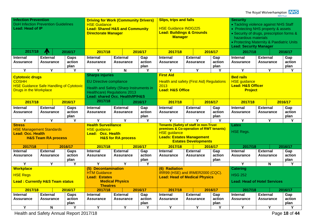| <b>Infection Prevention</b><br><b>DoH Infection Prevention Guidelines</b><br>Lead: Head of IP                             |                                     |                         | <b>Driving for Work (Community Drivers)</b><br><b>HSE Guidance</b><br><b>Lead: Shared H&amp;S and Community</b><br><b>Directorate Manager</b>                                 |                                     |                                                                                           | <b>Slips, trips and falls</b><br><b>HSE Guidance INDG225</b><br><b>Lead: Buildings &amp; Grounds</b><br><b>Manager</b>                                                            |                                     |                                     | <b>Security</b>                     | • Tackling violence against NHS Staff<br>• Protecting NHS property & assets<br>• Security of drugs, prescription forms &<br>hazardous materials<br>• Protecting Maternity & Paediatric Units<br><b>Lead: Security Manager</b> |                         |  |
|---------------------------------------------------------------------------------------------------------------------------|-------------------------------------|-------------------------|-------------------------------------------------------------------------------------------------------------------------------------------------------------------------------|-------------------------------------|-------------------------------------------------------------------------------------------|-----------------------------------------------------------------------------------------------------------------------------------------------------------------------------------|-------------------------------------|-------------------------------------|-------------------------------------|-------------------------------------------------------------------------------------------------------------------------------------------------------------------------------------------------------------------------------|-------------------------|--|
| 2017/18                                                                                                                   | Л                                   | 2016/17                 | 2017/18                                                                                                                                                                       |                                     | 2016/17                                                                                   | 2017/18                                                                                                                                                                           |                                     | 2016/17                             | 2017/18                             |                                                                                                                                                                                                                               | 2016/17                 |  |
| <b>Internal</b><br><b>Assurance</b>                                                                                       | <b>External</b><br><b>Assurance</b> | Gaps<br>action<br>plan  | <b>Internal</b><br><b>Assurance</b>                                                                                                                                           | <b>External</b><br><b>Assurance</b> | Gap<br>action<br>plan                                                                     | <b>Internal</b><br><b>Assurance</b>                                                                                                                                               | <b>External</b><br><b>Assurance</b> | Gap<br>action<br>plan               | <b>Internal</b><br><b>Assurance</b> | <b>External</b><br><b>Assurance</b>                                                                                                                                                                                           | Gap<br>action<br>plan   |  |
| $\overline{\mathsf{Y}}$                                                                                                   | $\overline{\mathsf{Y}}$             | $\overline{\mathsf{Y}}$ | $\overline{\mathsf{Y}}$                                                                                                                                                       | $\overline{\mathsf{N}}$             | $\overline{\mathsf{Y}}$                                                                   | $\overline{\mathsf{Y}}$                                                                                                                                                           | $\overline{\mathsf{Y}}$             | Y                                   | $\overline{\mathsf{Y}}$             | Y                                                                                                                                                                                                                             | $\overline{\mathsf{Y}}$ |  |
| <b>Cytotoxic drugs</b><br><b>COSHH</b><br><b>HSE Guidance Safe Handling of Cytotoxic</b><br><b>Drugs in the Workplace</b> |                                     |                         | <b>Sharps injuries</b><br><b>EU Directive compliance</b><br>Health and Safety (Sharp Instruments in<br><b>Healthcare) Regulations 2013</b><br>Lead: shared Occ. Health/IP/H&S |                                     |                                                                                           | <b>First Aid</b><br><b>Health and safety (First Aid) Regulations</b><br>2013<br><b>Lead: H&amp;S Office</b>                                                                       |                                     |                                     | <b>Bed rails</b>                    | <b>HSE</b> guidance<br><b>Lead: H&amp;S Officer</b><br><b>Project</b>                                                                                                                                                         |                         |  |
| 2017/18                                                                                                                   |                                     | 2016/17                 | 2017/18                                                                                                                                                                       |                                     | 2016/17                                                                                   | 2017/18                                                                                                                                                                           |                                     | 2016/17                             | 2017/18                             |                                                                                                                                                                                                                               | 2016/17                 |  |
| <b>Internal</b><br>Assurance                                                                                              | <b>External</b><br><b>Assurance</b> | Gaps<br>action<br>plan  | <b>Internal</b><br><b>Assurance</b>                                                                                                                                           | <b>External</b><br><b>Assurance</b> | Gap<br>action<br>plan                                                                     | <b>Internal</b><br><b>Assurance</b>                                                                                                                                               | <b>External</b><br><b>Assurance</b> | Gap<br>action<br>plan               | <b>Internal</b><br><b>Assurance</b> | <b>External</b><br><b>Assurance</b>                                                                                                                                                                                           | Gap<br>action<br>plan   |  |
| Y                                                                                                                         | Y                                   | Υ                       | Y                                                                                                                                                                             | Y                                   | Υ                                                                                         | Υ                                                                                                                                                                                 | Y                                   | Υ                                   | Y                                   | Υ                                                                                                                                                                                                                             | Υ                       |  |
| <b>Stress</b><br><b>HSE Management Standards</b><br><b>Lead: Occ. Health</b><br><b>H&amp;S Team RA process</b>            |                                     |                         | <b>Health Surveillance</b><br><b>HSE</b> guidance<br>Lead: Occ. Health<br><b>H&amp;S for RA process</b>                                                                       |                                     |                                                                                           | <b>Tenants (Safety of staff in non-Trust</b><br>premises & Co-operation of RWT tenants)<br><b>HSE</b> guidance<br><b>Leads: Estates Management</b><br><b>Estates Developments</b> |                                     |                                     | Latex<br><b>HSE Regs.</b>           |                                                                                                                                                                                                                               |                         |  |
| 2017/18                                                                                                                   |                                     | 2016/17                 | 2017/18                                                                                                                                                                       |                                     | 2016/17                                                                                   | 2017/18                                                                                                                                                                           |                                     | 2016/17                             | 2017/18                             |                                                                                                                                                                                                                               | 2016/17                 |  |
| <b>Internal</b><br><b>Assurance</b>                                                                                       | <b>External</b><br><b>Assurance</b> | Gaps<br>action<br>plan  | <b>Internal</b><br><b>Assurance</b>                                                                                                                                           | <b>External</b><br><b>Assurance</b> | Gap<br>action<br>plan                                                                     | <b>Internal</b><br><b>Assurance</b>                                                                                                                                               | <b>External</b><br><b>Assurance</b> | Gap<br>action<br>plan               | <b>Internal</b><br><b>Assurance</b> | <b>External</b><br><b>Assurance</b>                                                                                                                                                                                           | Gap<br>action<br>plan   |  |
| $\overline{Y}$                                                                                                            | Y                                   | Y                       | Y                                                                                                                                                                             | $\overline{Y}$                      | Y                                                                                         |                                                                                                                                                                                   |                                     |                                     | Y                                   | N                                                                                                                                                                                                                             | Y                       |  |
| <b>Workplace</b><br><b>HSE Regs</b><br><b>Lead: Currently H&amp;S Team status</b>                                         |                                     |                         | (5) Decontamination<br><b>HTM Guidance</b><br><b>Lead: Estates</b><br><b>Medical Physics</b><br><b>Theatres</b>                                                               |                                     | (6) Radiation<br>IRR99 (HSE) and IRMER2000 (CQC).<br><b>Lead: Head of Medical Physics</b> |                                                                                                                                                                                   | <b>Catering</b><br><b>HSG 252</b>   | <b>Lead: Head of Hotel Services</b> |                                     |                                                                                                                                                                                                                               |                         |  |
| 2017/18                                                                                                                   |                                     | 2016/17                 | 2017/18                                                                                                                                                                       |                                     | 2016/17                                                                                   | 2017/18                                                                                                                                                                           |                                     | 2016/17                             | 2017/18                             |                                                                                                                                                                                                                               | 2016/17                 |  |
| Internal<br>Assurance                                                                                                     | <b>External</b><br><b>Assurance</b> | Gaps<br>action<br>plan  | <b>Internal</b><br><b>Assurance</b>                                                                                                                                           | <b>External</b><br><b>Assurance</b> | Gap<br>action<br>plan                                                                     | <b>Internal</b><br><b>Assurance</b>                                                                                                                                               | <b>External</b><br><b>Assurance</b> | Gap<br>action<br>plan               | <b>Internal</b><br><b>Assurance</b> | <b>External</b><br>Assurance                                                                                                                                                                                                  | Gap<br>action<br>plan   |  |
| Y                                                                                                                         | N                                   | Υ                       | Y                                                                                                                                                                             | Y                                   | Υ                                                                                         | Y                                                                                                                                                                                 | Y                                   | Y                                   | $\overline{\mathsf{Y}}$             | Y                                                                                                                                                                                                                             | Υ                       |  |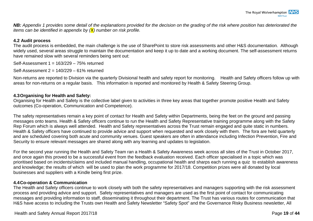*NB: Appendix 1 provides some detail of the explanations provided for the decision on the grading of the risk where position has deteriorated the items can be identified in appendix by (X) number on risk profile.* 

#### **4.2 Audit process**

The audit process is embedded, the main challenge is the use of SharePoint to store risk assessments and other H&S documentation. Although widely used, several areas struggle to maintain the documentation and keep it up to date and a working document. The self-assessment returns have remained slow with several reminders being sent out:

Self-Assessment 1 = 163/229 – 75% returned

Self-Assessment 2 = 140/229 – 61% returned

Non-returns are reported to Division via the quarterly Divisional health and safety report for monitoring. Health and Safety officers follow up with areas for non-returns on a regular basis. This information is reported and monitored by Health & Safety Steering Group.

#### <span id="page-21-0"></span>**4.3Organising for Health and Safety:**

Organising for Health and Safety is the collective label given to activities in three key areas that together promote positive Health and Safety outcomes (Co-operation, Communication and Competence).

The safety representatives remain a key point of contact for Health and Safety within Departments, being the feet on the ground and passing messages onto teams. Health & Safety officers continue to run the Health and Safety Representative training programme along with the Safety Rep Forum which is always well attended. Health and Safety representatives across the Trust remain engaged and quite static in numbers. Health & Safety officers have continued to provide advice and support when requested and work closely with them. The fora are held quarterly and are scheduled covering both acute and community venues. Guest speakers are often in attendance including Infection Prevention, Fire and Security to ensure relevant messages are shared along with any learning and updates to legislation.

For the second year running the Health and Safety Team ran a Health & Safety Awareness week across all sites of the Trust in October 2017, and once again this proved to be a successful event from the feedback evaluation received. Each officer specialised in a topic which was prioritised based on incidents/claims and included manual handling, occupational health and sharps each running a quiz to establish awareness and knowledge; the results of which will be used to plan the work programme for 2017/18. Competition prizes were all donated by local businesses and suppliers with a Kindle being first prize.

#### <span id="page-21-1"></span>**4.4Co-operation & Communication**

The Health and Safety officers continue to work closely with both the safety representatives and managers supporting with the risk assessment process and providing advice and support. Safety representatives and managers are used as the first point of contact for communicating messages and providing information to staff, disseminating it throughout their department. The Trust has various routes for communication that H&S have access to including the Trusts own Health and Safety Newsletter "Safety Spot" and the Governance Risky Business newsletter, All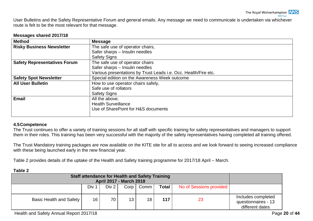User Bulletins and the Safety Representative Forum and general emails. Any message we need to communicate is undertaken via whichever route is felt to be the most relevant for that message.

#### **Messages shared 2017/18**

| <b>Method</b>                       | <b>Message</b>                                                  |  |  |  |  |  |  |  |
|-------------------------------------|-----------------------------------------------------------------|--|--|--|--|--|--|--|
| <b>Risky Business Newsletter</b>    | The safe use of operator chairs,                                |  |  |  |  |  |  |  |
|                                     | Safer sharps - Insulin needles                                  |  |  |  |  |  |  |  |
|                                     | <b>Safety Signs</b>                                             |  |  |  |  |  |  |  |
| <b>Safety Representatives Forum</b> | The safe use of operator chairs                                 |  |  |  |  |  |  |  |
|                                     | Safer sharps - Insulin needles                                  |  |  |  |  |  |  |  |
|                                     | Various presentations by Trust Leads i.e. Occ. Health/Fire etc. |  |  |  |  |  |  |  |
| <b>Safety Spot Newsletter</b>       | Special edition on the Awareness Week outcome                   |  |  |  |  |  |  |  |
| <b>All User Bulletin</b>            | How to use operator chairs safely,                              |  |  |  |  |  |  |  |
|                                     | Safe use of rollators                                           |  |  |  |  |  |  |  |
|                                     | <b>Safety Signs</b>                                             |  |  |  |  |  |  |  |
| <b>Email</b>                        | All the above.                                                  |  |  |  |  |  |  |  |
|                                     | <b>Health Surveillance</b>                                      |  |  |  |  |  |  |  |
|                                     | Use of SharePoint for H&S documents                             |  |  |  |  |  |  |  |
|                                     |                                                                 |  |  |  |  |  |  |  |

#### <span id="page-22-0"></span>**4.5Competence**

The Trust continues to offer a variety of training sessions for all staff with specific training for safety representatives and managers to support them in their roles. This training has been very successful with the majority of the safety representatives having completed all training offered.

The Trust Mandatory training packages are now available on the KITE site for all to access and we look forward to seeing increased compliance with these being launched early in the new financial year.

Table 2 provides details of the uptake of the Health and Safety training programme for 2017/18 April – March.

|--|--|

| .                                                                                        |       |       |      |      |       |                         |                                                              |
|------------------------------------------------------------------------------------------|-------|-------|------|------|-------|-------------------------|--------------------------------------------------------------|
| <b>Staff attendance for Health and Safety Training</b><br><b>April 2017 - March 2018</b> |       |       |      |      |       |                         |                                                              |
|                                                                                          | Div 1 | Div 2 | Corp | Comm | Total | No of Sessions provided |                                                              |
| Basic Health and Safety                                                                  | 16    | 70    | 13   | 18   | 117   | 23                      | Includes completed<br>questionnaires - 13<br>different dates |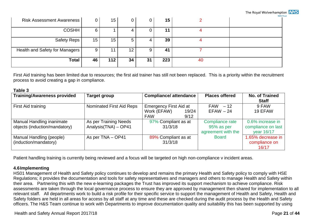| <b>Risk Assessment Awareness  </b> |                 | 15  | 0               | 0  | 15  |    |  |
|------------------------------------|-----------------|-----|-----------------|----|-----|----|--|
| <b>COSHH</b>                       |                 |     |                 | 0  | 11  |    |  |
| Safety Reps                        | 15 <sub>1</sub> | 15  | b               | 4  | 39  |    |  |
| Health and Safety for Managers     |                 | 11  | 12 <sup>°</sup> | 9  | 41  |    |  |
| <b>Total</b>                       | 46              | 112 | 34              | 31 | 223 | 40 |  |

First Aid training has been limited due to resources; the first aid trainer has still not been replaced. This is a priority within the recruitment process to avoid creating a gap in compliance.

#### **Table 3**

| <b>Training/Awareness provided</b>                         | <b>Target group</b>                            | <b>Compliance/attendance</b>                                                | <b>Places offered</b>                               | <b>No. of Trained</b><br><b>Staff</b>                |
|------------------------------------------------------------|------------------------------------------------|-----------------------------------------------------------------------------|-----------------------------------------------------|------------------------------------------------------|
| First Aid training                                         | Nominated First Aid Reps                       | <b>Emergency First Aid at</b><br>Work (EFAW)<br>19/24<br><b>FAW</b><br>9/12 | $FAW - 12$<br>$EFAW - 24$                           | 9 FAW<br>19 EFAW                                     |
| Manual Handling inanimate<br>objects (induction/mandatory) | As per Training Needs<br>Analysis (TNA) - OP41 | 97% Compliant as at<br>31/3/18                                              | Compliance rate<br>95% as per<br>agreement with the | 0.6% increase in<br>compliance on last<br>year 16/17 |
| Manual Handling (people)<br>(induction/mandatory)          | As per TNA - OP41                              | 89% Compliant as at<br>31/3/18                                              | <b>Board</b>                                        | 1.65% decrease in<br>compliance on<br>16/17          |

Patient handling training is currently being reviewed and a focus will be targeted on high non-compliance v incident areas.

#### <span id="page-23-0"></span>**4.6Implementing**

HS01 Management of Health and Safety policy continues to develop and remains the primary Health and Safety policy to comply with HSE Regulations; it provides the documentation and tools for safety representatives and managers and others to manage Health and Safety within their area. Partnering this with the new e-learning packages the Trust has improved its support mechanism to achieve compliance. Risk assessments are taken through the local governance process to ensure they are approved by management then shared for implementation to all relevant staff. All departments work to build a risk profile for their specific service to support the management of Health and Safety, Health and Safety folders are held in all areas for access by all staff at any time and these are checked during the audit process by the Health and Safety officers. The H&S Team continue to work with Departments to improve documentation quality and suitability this has been supported by using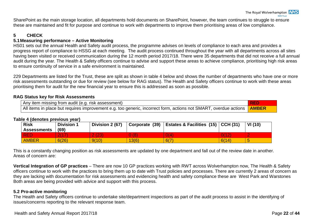SharePoint as the main storage location, all departments hold documents on SharePoint, however, the team continues to struggle to ensure these are maintained and fit for purpose and continue to work with departments to improve them prioritising areas of low compliance.

### <span id="page-24-0"></span>**5 CHECK**

#### <span id="page-24-1"></span>**5.1Measuring performance – Active Monitoring**

HS01 sets out the annual Health and Safety audit process, the programme advises on levels of compliance to each area and provides a progress report of compliance to HSSG at each meeting. The audit process continued throughout the year with all departments across all sites having been visited or received communication during the 12 month period 2017/18. There were 35 departments that did not receive a full annual audit during the year. The Health & Safety officers continue to advise and support these areas to achieve compliance, prioritising high risk areas to ensure continuity of service in a safe environment is maintained.

229 Departments are listed for the Trust, these are split as shown in table 4 below and shows the number of departments who have one or more risk assessments outstanding or due for review (see below for RAG status). The Health and Safety officers continue to work with these areas prioritising them for audit for the new financial year to ensure this is addressed as soon as possible.

#### **RAG Status key for Risk Assessments**

| Any item missing from audit (e.g. risk assessment)                                                                            |  |
|-------------------------------------------------------------------------------------------------------------------------------|--|
| All items in place but requires improvement e.g. too generic, incorrect form, actions not SMART, overdue actions <b>AMBER</b> |  |

#### **Table 4 (denotes previous year)**

| <b>Risk</b><br><b>Assessments</b> | <b>Division 1</b><br>(69) | Division 2 (67) | Corporate (39) | Estates & Facilities (15)   CCH (31) |       | VI(10) |
|-----------------------------------|---------------------------|-----------------|----------------|--------------------------------------|-------|--------|
| <b>RED</b>                        | 2(17)                     | 2(23)           | 0(8)           | 0(4)                                 | O(12) |        |
| <b>AMBER</b>                      | 6(26)                     | 9(10)           | 13(6)          | 6(7)                                 | 6(14) |        |

This is a constantly changing position as risk assessments are updated by one department and fall out of the review date in another. Areas of concern are:

**Vertical Integration of GP practices** – There are now 10 GP practices working with RWT across Wolverhampton now, The Health & Safety officers continue to work with the practices to bring them up to date with Trust policies and processes. There are currently 2 areas of concern as they are lacking with documentation for risk assessments and evidencing health and safety compliance these are West Park and Warstones Both areas are being provided with advice and support with this process.

#### <span id="page-24-2"></span>**5.2 Pro-active monitoring**

The Health and Safety officers continue to undertake site/department inspections as part of the audit process to assist in the identifying of issues/concerns reporting to the relevant response team.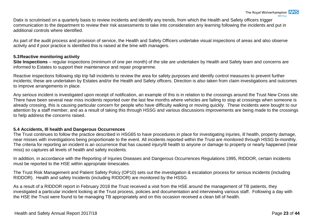Datix is scrutinised on a quarterly basis to review incidents and identify any trends, from which the Health and Safety officers trigger communication to the department to review their risk assessments to take into consideration any learning following the incidents and put in additional controls where identified.

As part of the audit process and provision of service, the Health and Safety Officers undertake visual inspections of areas and also observe activity and if poor practice is identified this is raised at the time with managers.

#### <span id="page-25-0"></span>**5.3Reactive monitoring activity**

**Site Inspections** – regular inspections (minimum of one per month) of the site are undertaken by Health and Safety team and concerns are informed to Estates to support their maintenance and repair programme.

Reactive inspections following slip trip fall incidents to review the area for safety purposes and identify control measures to prevent further incidents; these are undertaken by Estates and/or the Health and Safety officers. Direction is also taken from claim investigations and outcomes to improve arrangements in place.

Any serious incident is investigated upon receipt of notification, an example of this is in relation to the crossings around the Trust New Cross site. There have been several near miss incidents reported over the last few months where vehicles are failing to stop at crossings when someone is already crossing, this is causing particular concern for people who have difficulty walking or moving quickly. These incidents were bought to our attention by a staff member, and as a result of taking this through HSSG and various discussions improvements are being made to the crossings to help address the concerns raised.

#### <span id="page-25-1"></span>**5.4 Accidents, Ill health and Dangerous Occurrences**

The Trust continues to follow the practice described in HSG65 to have procedures in place for investigating injuries, ill health, property damage, near misses with investigations being proportionate to the event. All incidents reported within the Trust are monitored through HSSG bi-monthly. The criteria for reporting an incident is an occurrence that has caused injury/ill health to anyone or damage to property or nearly happened (near miss) so captures all levels of health and safety incidents.

In addition, in accordance with the Reporting of Injuries Diseases and Dangerous Occurrences Regulations 1995, RIDDOR, certain incidents must be reported to the HSE within appropriate timescales.

The Trust Risk Management and Patient Safety Policy (OP10) sets out the investigation & escalation process for serious incidents (including RIDDOR). Health and safety Incidents (including RIDDOR) are monitored by the HSSG.

As a result of a RIDDOR report in February 2018 the Trust received a visit from the HSE around the management of TB patients, they investigated a particular incident looking at the Trust process, policies and documentation and interviewing various staff. Following a day with the HSE the Trust were found to be managing TB appropriately and on this occasion received a clean bill of health.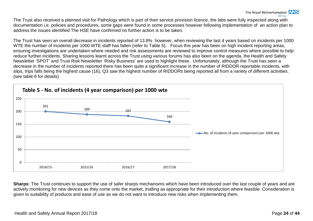The Trust also received a planned visit for Pathology which is part of their service provision licence, the labs were fully inspected along with documentation i.e. policies and procedures, some gaps were found in some processes however following implementation of an action plan to address the issues identified The HSE have confirmed no further action is to be taken.

The Trust has seen an overall decrease in incidents reported of 13.8% however, when reviewing the last 4 years based on incidents per 1000 WTE the number of incidents per 1000 WTE staff has fallen (refer to Table 5). Focus this year has been on high incident reporting areas, ensuring investigations are undertaken where needed and risk assessments are reviewed to improve control measures where possible to help reduce further incidents. Sharing lessons learnt across the Trust using various forums has also been on the agenda, the Health and Safety Newsletter 'SPOT' and Trust Risk Newsletter 'Risky Business' are used to highlight these. Unfortunately, although the Trust has seen a decrease in the number of incidents reported there has been quite a significant increase in the number of RIDDOR reportable incidents, with slips, trips falls being the highest cause (16), Q3 saw the highest number of RIDDORs being reported all from a variety of different activities. (see table 6 for details)



**Sharps**: The Trust continues to support the use of safer sharps mechanisms which have been introduced over the last couple of years and are actively monitoring for new devices as they come onto the market, trialling as appropriate for their introduction where feasible. Consideration is given to suitability of products and ease of use as we do not want to introduce new risks when implementing them.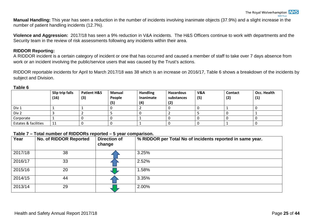**Manual Handling:** This year has seen a reduction in the number of incidents involving inanimate objects (37.9%) and a slight increase in the number of patient handling incidents (12.7%).

**Violence and Aggression:** 2017/18 has seen a 9% reduction in V&A incidents. The H&S Officers continue to work with departments and the Security team in the review of risk assessments following any incidents within their area.

#### <span id="page-27-0"></span>**RIDDOR Reporting:**

A RIDDOR incident is a certain category of incident or one that has occurred and caused a member of staff to take over 7 days absence from work or an incident involving the public/service users that was caused by the Trust's actions.

RIDDOR reportable incidents for April to March 2017/18 was 38 which is an increase on 2016/17, Table 6 shows a breakdown of the incidents by subject and Division.

|                      | Slip trip falls<br>(16) | <b>Patient H&amp;S</b><br>(3) | <b>Manual</b><br>People<br>(5) | <b>Handling</b><br>Inanimate<br>(4) | <b>Hazardous</b><br>substances<br>(2) | V&A<br>(5) | <b>Contact</b><br>(2) | Occ. Health<br>(1) |
|----------------------|-------------------------|-------------------------------|--------------------------------|-------------------------------------|---------------------------------------|------------|-----------------------|--------------------|
| Div 1                |                         |                               |                                |                                     |                                       |            |                       |                    |
| Div 2                |                         |                               |                                |                                     |                                       |            |                       |                    |
| Corporate            |                         |                               |                                |                                     |                                       |            |                       |                    |
| Estates & facilities | 11                      |                               |                                |                                     |                                       |            |                       |                    |

#### **Table 6**

#### **Table 7 – Total number of RIDDORs reported – 5 year comparison.**

| Year    | <b>No. of RIDDOR Reported</b> | <b>Direction of</b><br>change | % RIDDOR per Total No of incidents reported in same year. |
|---------|-------------------------------|-------------------------------|-----------------------------------------------------------|
| 2017/18 | 38                            |                               | 3.25%                                                     |
| 2016/17 | 33                            |                               | 2.52%                                                     |
| 2015/16 | 20                            |                               | 1.58%                                                     |
| 2014/15 | 44                            |                               | 3.35%                                                     |
| 2013/14 | 29                            |                               | 2.00%                                                     |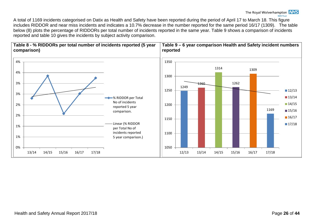A total of 1169 incidents categorised on Datix as Health and Safety have been reported during the period of April 17 to March 18. This figure includes RIDDOR and near miss incidents and indicates a 10.7% decrease in the number reported for the same period 16/17 (1309). The table below (8) plots the percentage of RIDDORs per total number of incidents reported in the same year. Table 9 shows a comparison of incidents reported and table 10 gives the incidents by subject activity comparison.

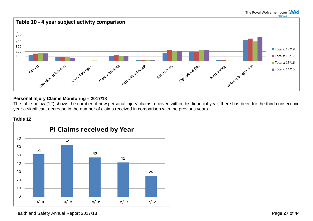#### The Royal Wolverhampton NHS



#### <span id="page-29-0"></span>**Personal Injury Claims Monitoring – 2017/18**

The table below (12) shows the number of new personal injury claims received within this financial year, there has been for the third consecutive year a significant decrease in the number of claims received in comparison with the previous years.



Health and Safety Annual Report 2017/18 **Page 27** of 44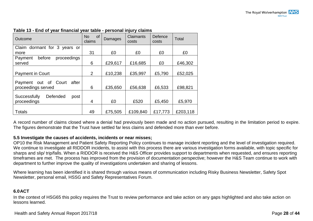| Outcome                                             | of<br><b>No</b><br>claims | Damages | <b>Claimants</b><br>costs | Defence<br>costs | Total    |
|-----------------------------------------------------|---------------------------|---------|---------------------------|------------------|----------|
| Claim dormant for 3 years or                        |                           |         |                           |                  |          |
| more                                                | 31                        | £0      | £0                        | £0               | £0       |
| before<br>proceedings<br>Payment                    |                           |         |                           |                  |          |
| served                                              | 6                         | £29,617 | £16,685                   | £0               | £46,302  |
|                                                     |                           |         |                           |                  |          |
| Payment in Court                                    | $\overline{2}$            | £10,238 | £35,997                   | £5,790           | £52,025  |
| Payment out of Court<br>after<br>proceedings served | 6                         | £35,650 | £56,638                   | £6,533           | £98,821  |
| Defended<br>Successfully<br>post<br>proceedings     | 4                         | £0      | £520                      | £5,450           | £5,970   |
|                                                     |                           |         |                           |                  |          |
| <b>Totals</b>                                       | 49                        | £75,505 | £109,840                  | £17,773          | £203,118 |

#### **Table 13 - End of year financial year table - personal injury claims**

A record number of claims closed where a denial had previously been made and no action pursued, resulting in the limitation period to expire. The figures demonstrate that the Trust have settled far less claims and defended more than ever before.

#### <span id="page-30-0"></span>**5.5 Investigate the causes of accidents, incidents or near misses;**

OP10 the Risk Management and Patient Safety Reporting Policy continues to manage incident reporting and the level of investigation required. We continue to investigate all RIDDOR incidents, to assist with this process there are various investigation forms available, with topic specific for sharps and slip/ trip/falls. When a RIDDOR is received the H&S Officer provides support to departments when requested, and ensures reporting timeframes are met. The process has improved from the provision of documentation perspective; however the H&S Team continue to work with department to further improve the quality of investigations undertaken and sharing of lessons.

Where learning has been identified it is shared through various means of communication including Risky Business Newsletter, Safety Spot Newsletter, personal email, HSSG and Safety Representatives Forum.

#### <span id="page-30-1"></span>**6.0ACT**

In the context of HSG65 this policy requires the Trust to review performance and take action on any gaps highlighted and also take action on lessons learned.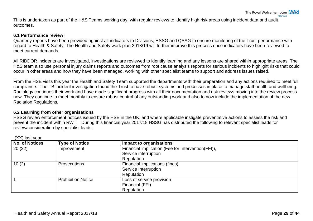This is undertaken as part of the H&S Teams working day, with regular reviews to identify high risk areas using incident data and audit outcomes.

#### <span id="page-31-0"></span>**6.1 Performance review:**

Quarterly reports have been provided against all indicators to Divisions, HSSG and QSAG to ensure monitoring of the Trust performance with regard to Health & Safety. The Health and Safety work plan 2018/19 will further improve this process once indicators have been reviewed to meet current demands.

All RIDDOR incidents are investigated, investigations are reviewed to identify learning and any lessons are shared within appropriate areas. The H&S team also use personal injury claims reports and outcomes from root cause analysis reports for serious incidents to highlight risks that could occur in other areas and how they have been managed, working with other specialist teams to support and address issues raised.

From the HSE visits this year the Health and Safety Team supported the departments with their preparation and any actions required to meet full compliance. The TB incident investigation found the Trust to have robust systems and processes in place to manage staff health and wellbeing. Radiology continues their work and have made significant progress with all their documentation and risk reviews moving into the review process now. They continue to meet monthly to ensure robust control of any outstanding work and also to now include the implementation of the new Radiation Regulations.

#### <span id="page-31-1"></span>**6.2 Learning from other organisations**

HSSG review enforcement notices issued by the HSE in the UK, and where applicable instigate preventative actions to assess the risk and prevent the incident within RWT. During this financial year 2017/18 HSSG has distributed the following to relevant specialist leads for review/consideration by specialist leads:

| <b>No. of Notices</b> | <b>Type of Notice</b>     | Impact to organisations                            |  |  |  |
|-----------------------|---------------------------|----------------------------------------------------|--|--|--|
| 20(22)                | Improvement               | Financial implication (Fee for Intervention(FFI)), |  |  |  |
|                       |                           | Service interruption                               |  |  |  |
|                       |                           | Reputation                                         |  |  |  |
| 10(2)                 | <b>Prosecutions</b>       | Financial implications (fines)                     |  |  |  |
|                       |                           | Service Interruption                               |  |  |  |
|                       |                           | Reputation                                         |  |  |  |
|                       | <b>Prohibition Notice</b> | Loss of service provision                          |  |  |  |
|                       |                           | Financial (FFI)                                    |  |  |  |
|                       |                           | Reputation                                         |  |  |  |

(XX) last year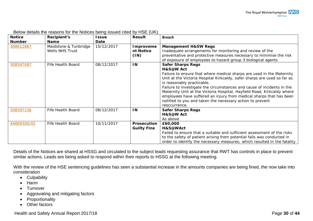| <b>Notice</b><br><b>Number</b> | <b>Recipient's</b><br><b>Name</b>        | <b>Issue</b><br>Date | <b>Result</b>                     | <b>Breach</b>                                                                                                                                                                                                                                                                                                                                                                                                                                                                                                                      |
|--------------------------------|------------------------------------------|----------------------|-----------------------------------|------------------------------------------------------------------------------------------------------------------------------------------------------------------------------------------------------------------------------------------------------------------------------------------------------------------------------------------------------------------------------------------------------------------------------------------------------------------------------------------------------------------------------------|
| 308612867                      | Maidstone & Tunbridge<br>Wells NHS Trust | 15/12/2017           | Improveme<br>nt Notice<br>(1N)    | <b>Management H&amp;SW Regs</b><br>Inadequate arrangements for monitoring and review of the<br>preventative and protective measures necessary to minimise the risk<br>of exposure of employees to hazard group 3 biological agents                                                                                                                                                                                                                                                                                                 |
| 308597087                      | Fife Health Board                        | 08/12/2017           | IN                                | <b>Safer Sharps Regs</b><br>H&S@W Act<br>Failure to ensure that where medical sharps are used in the Maternity<br>Unit at the Victoria Hospital Kirkcaldy, safer sharps are used so far as<br>is reasonably practicable.<br>Failure to investigate the circumstances and cause of incidents in the<br>Maternity Unit at the Victoria Hospital, Hayfield Road, Kirkcaldy where<br>employees have suffered an injury from medical sharps that has been<br>notified to you and taken the necessary action to prevent<br>reoccurrence. |
| 308597136                      | Fife Health Board                        | 08/12/2017           | IN.                               | <b>Safer Sharps Regs</b><br>H&S@W Act<br>As above                                                                                                                                                                                                                                                                                                                                                                                                                                                                                  |
| 44869300/02                    | Fife Health Board                        | 10/11/2017           | Prosecution<br><b>Guilty Fine</b> | £60,000<br>H&S@WAct<br>Failed to ensure that a suitable and sufficient assessment of the risks<br>to the safety of patient arising from potential falls was conducted in<br>order to identify the necessary measures; which resulted in the fatality                                                                                                                                                                                                                                                                               |

Below details the reasons for the Notices being issued cited by HSE (UK).

Details of the Notices are shared at HSSG and circulated to the subject leads requesting assurance that RWT has controls in place to prevent similar actions. Leads are being asked to respond within their reports to HSSG at the following meeting.

With the review of the HSE sentencing guidelines has seen a substantial increase in the amounts companies are being fined, the now take into consideration

- Culpability
- Harm
- Turnover
- Aggravating and mitigating factors
- Proportionality
- Other factors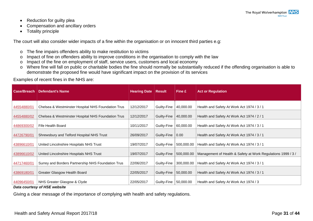- Reduction for guilty plea
- Compensation and ancillary orders
- Totality principle

The court will also consider wider impacts of a fine within the organisation or on innocent third parties e.g:

- o The fine impairs offenders ability to make restitution to victims
- o Impact of fine on offenders ability to improve conditions in the organisation to comply with the law
- o Impact of the fine on employment of staff, service users, customers and local economy
- o Where fine will fall on public or charitable bodies the fine should normally be substantially reduced if the offending organisation is able to demonstrate the proposed fine would have significant impact on the provision of its services

Examples of recent fines in the NHS are:

| <b>Case/Breach</b> | <b>Defendant's Name</b>                            | <b>Hearing Date</b> | <b>Result</b> | Fine £     | <b>Act or Regulation</b>                                     |
|--------------------|----------------------------------------------------|---------------------|---------------|------------|--------------------------------------------------------------|
|                    |                                                    |                     |               |            |                                                              |
| 44554880/01        | Chelsea & Westminster Hospital NHS Foundation Trus | 12/12/2017          | Guilty-Fine   | 40,000.00  | Health and Safety At Work Act 1974 / 3 / 1                   |
| 44554880/02        | Chelsea & Westminster Hospital NHS Foundation Trus | 12/12/2017          | Guilty-Fine   | 40,000.00  | Health and Safety At Work Act 1974 / 2 / 1                   |
| 44869300/02        | Fife Health Board                                  | 10/11/2017          | Guilty-Fine   | 60,000.00  | Health and Safety At Work Act 1974 / 3 / 1                   |
| 44726790/01        | Shrewsbury and Telford Hospital NHS Trust          | 26/09/2017          | Guilty-Fine   | 0.00       | Health and Safety At Work Act 1974 / 3 / 1                   |
| 43896610/01        | United Lincolnshire Hospitals NHS Trust            | 19/07/2017          | Guilty-Fine   | 500,000.00 | Health and Safety At Work Act 1974 / 3 / 1                   |
| 43896610/02        | United Lincolnshire Hospitals NHS Trust            | 19/07/2017          | Guilty-Fine   | 500,000.00 | Management of Health & Safety at Work Regulations 1999 / 3 / |
| 44717460/01        | Surrey and Borders Partnership NHS Foundation Trus | 22/06/2017          | Guilty-Fine   | 300,000.00 | Health and Safety At Work Act 1974 / 3 / 1                   |
| 43869180/01        | Greater Glasgow Health Board                       | 22/05/2017          | Guilty-Fine   | 50,000.00  | Health and Safety At Work Act 1974 / 3 / 1                   |
| 44096450/01        | NHS Greater Glasgow & Clyde                        | 22/05/2017          | Guilty-Fine   | 50,000.00  | Health and Safety At Work Act 1974 / 3                       |
|                    | Data courtesy of HSE website                       |                     |               |            |                                                              |

Giving a clear message of the importance of complying with health and safety regulations.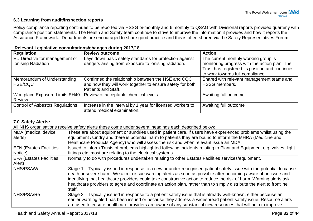#### <span id="page-34-0"></span>**6.3 Learning from audit/inspection reports**

Policy compliance reporting continues to be reported via HSSG bi-monthly and 6 monthly to QSAG with Divisional reports provided quarterly with compliance position statements. The Health and Safety team continue to strive to improve the information it provides and how it reports the Assurance Framework. Departments are encouraged to share good practice and this is often shared via the Safety Representatives Forum.

| <b>Regulation</b>                      | <b>Review outcome</b>                                                            | <b>Action</b>                                                                       |
|----------------------------------------|----------------------------------------------------------------------------------|-------------------------------------------------------------------------------------|
| EU Directive for management of         | Lays down basic safety standards for protection against                          | The current monthly working group is                                                |
| Ionising Radiation                     | dangers arising from exposure to ionising radiation.                             | monitoring progress with the action plan. The                                       |
|                                        |                                                                                  | Trust has registered its position and continues<br>to work towards full compliance. |
| Memorandum of Understanding            | Confirmed the relationship between the HSE and CQC                               | Shared with relevant management teams and                                           |
| HSE/CQC                                | and how they will work together to ensure safety for both<br>Patients and Staff. | <b>HSSG members.</b>                                                                |
| Workplace Exposure Limits EH40         | Review of acceptable chemical levels                                             | Awaiting full outcome                                                               |
| <b>Review</b>                          |                                                                                  |                                                                                     |
| <b>Control of Asbestos Regulations</b> | Increase in the interval by 1 year for licensed workers to                       | Awaiting full outcome                                                               |
|                                        | attend medical examination.                                                      |                                                                                     |

#### **Relevant Legislative consultations/changes during 2017/18**

#### <span id="page-34-1"></span>**7.0 Safety Alerts:**

All NHS organisations receive safety alerts these come under several headings each described below:

| MDA (medical device<br>alerts) | These are about equipment or sundries used in patient care, if users have experienced problems whilst using the<br>equipment /sundry and there is potential harm to patients they are bound to inform the MHRA (Medicine and<br>Healthcare Products Agency) who will assess the risk and when relevant issue an MDA.                                                                                                                                                                           |
|--------------------------------|------------------------------------------------------------------------------------------------------------------------------------------------------------------------------------------------------------------------------------------------------------------------------------------------------------------------------------------------------------------------------------------------------------------------------------------------------------------------------------------------|
| <b>EFN (Estates Facilities</b> | Issued to inform Trusts of problems highlighted following incidents relating to Plant and Equipment e.g. valves, light                                                                                                                                                                                                                                                                                                                                                                         |
| Notice)                        | fittings etc. most are relating to the electrical systems                                                                                                                                                                                                                                                                                                                                                                                                                                      |
| <b>EFA (Estates Facilities</b> | Normally to do with procedures undertaken relating to other Estates Facilities services/equipment.                                                                                                                                                                                                                                                                                                                                                                                             |
| Alert)                         |                                                                                                                                                                                                                                                                                                                                                                                                                                                                                                |
| NHS/PSA/W                      | Stage 1 – Typically issued in response to a new or under-recognised patient safety issue with the potential to cause<br>death or severe harm. We aim to issue warning alerts as soon as possible after becoming aware of an issue and<br>identifying that healthcare providers could take constructive action to reduce the risk of harm. Warning alerts ask<br>healthcare providers to agree and coordinate an action plan, rather than to simply distribute the alert to frontline<br>staff. |
| <b>NHS/PSA/Re</b>              | Stage 2 – Typically issued in response to a patient safety issue that is already well-known, either because an<br>earlier warning alert has been issued or because they address a widespread patient safety issue. Resource alerts                                                                                                                                                                                                                                                             |
|                                | are used to ensure healthcare providers are aware of any substantial new resources that will help to improve                                                                                                                                                                                                                                                                                                                                                                                   |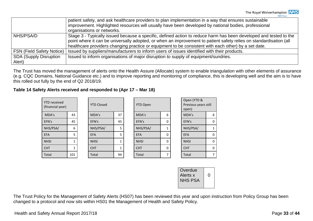|                                  | patient safety, and ask healthcare providers to plan implementation in a way that ensures sustainable<br>improvement. Highlighted resources will usually have been developed by national bodies, professional<br>organisations or networks.                                                                                                     |
|----------------------------------|-------------------------------------------------------------------------------------------------------------------------------------------------------------------------------------------------------------------------------------------------------------------------------------------------------------------------------------------------|
| NHS/PSA/D                        | Stage 3 - Typically issued because a specific, defined action to reduce harm has been developed and tested to the<br>point where it can be universally adopted, or when an improvement to patient safety relies on standardisation (all<br>healthcare providers changing practice or equipment to be consistent with each other) by a set date. |
| <b>FSN (Field Safety Notice)</b> | Issued by suppliers/manufacturers to inform users of issues identified with their products.                                                                                                                                                                                                                                                     |
| <b>SDA (Supply Disruption</b>    | Issued to inform organisations of major disruption to supply of equipment/sundries.                                                                                                                                                                                                                                                             |
| Alert)                           |                                                                                                                                                                                                                                                                                                                                                 |

The Trust has moved the management of alerts onto the Health Assure (Allocate) system to enable triangulation with other elements of assurance (e.g. CQC Domains, National Guidance etc.) and to improve reporting and monitoring of compliance, this is developing well and the aim is to have this rolled out fully by the end of Q2 2018/19.

#### **Table 14 Safety Alerts received and responded to (Apr 17 – Mar 18)**

| <b>YTD</b> received<br>(financial year) |        | <b>YTD Closed</b> |    | <b>YTD Open</b> |   | Open (YTD &<br>Previous years still<br>open) |          |
|-----------------------------------------|--------|-------------------|----|-----------------|---|----------------------------------------------|----------|
| MDA's                                   | 43     | MDA's             | 37 | MDA's           | 6 | MDA's                                        | 6        |
| EFN's                                   | 45     | EFN's             | 45 | EFN's           | 0 | EFN's                                        | 0        |
| NHS/PSA/                                | 6      | NHS/PSA/          | 5  | NHS/PSA/        | 1 | NHS/PSA/                                     |          |
| <b>EFA</b>                              | 5      | <b>EFA</b>        | 5  | <b>EFA</b>      | 0 | <b>EFA</b>                                   | 0        |
| <b>NHSI</b>                             | ┻      | <b>NHSI</b>       | 1  | <b>NHSI</b>     | 0 | <b>NHSI</b>                                  | $\Omega$ |
| <b>CHT</b>                              | 1<br>┸ | <b>CHT</b>        |    | <b>CHT</b>      | 0 | <b>CHT</b>                                   | 0        |
| Total                                   | 101    | Total             | 94 | Total           | ⇁ | Total                                        |          |

| Overdue<br>Alerts x<br><b>NHS PSA</b> |  |
|---------------------------------------|--|
|                                       |  |

The Trust Policy for the Management of Safety Alerts (HS07) has been reviewed this year and upon instruction from Policy Group has been changed to a protocol and now sits within HS01 the Management of Health and Safety Policy.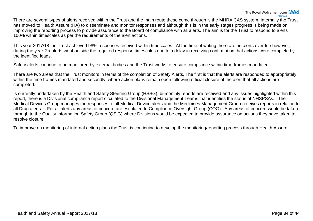There are several types of alerts received within the Trust and the main route these come through is the MHRA CAS system. Internally the Trust has moved to Health Assure (HA) to disseminate and monitor responses and although this is in the early stages progress is being made on improving the reporting process to provide assurance to the Board of compliance with all alerts. The aim is for the Trust to respond to alerts 100% within timescales as per the requirements of the alert actions.

This year 2017/18 the Trust achieved 98% responses received within timescales. At the time of writing there are no alerts overdue however; during the year 2 x alerts went outside the required response timescales due to a delay in receiving confirmation that actions were complete by the identified leads.

Safety alerts continue to be monitored by external bodies and the Trust works to ensure compliance within time-frames mandated.

There are two areas that the Trust monitors in terms of the completion of Safety Alerts, The first is that the alerts are responded to appropriately within the time frames mandated and secondly, where action plans remain open following official closure of the alert that all actions are completed.

Is currently undertaken by the Health and Safety Steering Group (HSSG), bi-monthly reports are received and any issues highlighted within this report, there is a Divisional compliance report circulated to the Divisional Management Teams that identifies the status of NHSPSAs. The Medical Devices Group manages the responses to all Medical Device alerts and the Medicines Management Group receives reports in relation to all Drug alerts. For all alerts any areas of concern are escalated to Compliance Oversight Group (COG). Any areas of concern would be taken through to the Quality Information Safety Group (QSIG) where Divisions would be expected to provide assurance on actions they have taken to resolve closure.

To improve on monitoring of internal action plans the Trust is continuing to develop the monitoring/reporting process through Health Assure.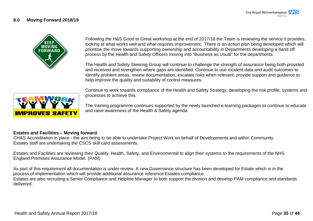#### <span id="page-37-0"></span>**8.0 Moving Forward 2018/19**



Following the H&S Good to Great workshop at the end of 2017/18 the Team is reviewing the service it provides, looking at what works well and what requires improvement. There is an action plan being developed which will prioritise the move towards supporting ownership and accountability in Departments developing a hand off process by the Health and Safety Officers moving into "Business as Usual" for the departments.

The Health and Safety Steering Group will continue to challenge the strength of assurance being both provided and received and strengthen where gaps are identified. Continue to use incident data and audit outcomes to identify problem areas, review documentation, escalate risks when relevant; provide support and guidance to help improve the quality and suitability of control measures.



Continue to work towards compliance of the Health and Safety Strategy, developing the risk profile, systems and processes to achieve this.

The training programme continues supported by the newly launched e-learning packages to continue to educate and raise awareness of the Health & Safety agenda.

#### **Estates and Facilities – Moving forward**

CHAS Accreditation in place - the aim being to be able to undertake Project Work on behalf of Developments and within Community. Estates staff are undertaking the CSCS skill card assessments.

Estates and Facilities are reviewing their Quality, Health, Safety, and Environmental to align their systems to the requirements of the NHS England Premises Assurance Model. (PAM)

As part of this requirement all documentation is under review. A new Governance structure has been developed for Estate which is in the process of implementation which will provide additional assurance reference Estates compliance.

Estates are also recruiting a Senior Compliance and Helpline Manager to both support the division and develop PAM compliance and standards delivered.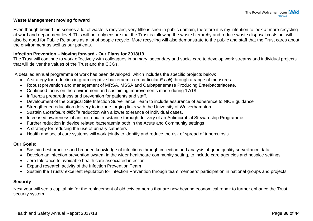#### **Waste Management moving forward**

Even though behind the scenes a lot of waste is recycled, very little is seen in public domain, therefore it is my intention to look at more recycling at ward and department level. This will not only ensure that the Trust is following the waste hierarchy and reduce waste disposal costs but will also be good for Public Relations as a lot of people recycle. More recycling will also demonstrate to the public and staff that the Trust cares about the environment as well as our patients.

#### **Infection Prevention – Moving forward - Our Plans for 2018/19**

The Trust will continue to work effectively with colleagues in primary, secondary and social care to develop work streams and individual projects that will deliver the values of the Trust and the CCGs.

A detailed annual programme of work has been developed, which includes the specific projects below:

- A strategy for reduction in gram negative bacteraemia (in particular *E.coli*) through a range of measures.
- Robust prevention and management of MRSA, MSSA and Carbapenemase Producing Enterbacteriaceae.
- Continued focus on the environment and sustaining improvements made during 17/18
- Influenza preparedness and prevention for patients and staff.
- Development of the Surgical Site Infection Surveillance Team to include assurance of adherence to NICE guidance
- Strengthened education delivery to include forging links with the University of Wolverhampton
- Sustain *Clostridium difficile* reduction with a lower tolerance of individual cases.
- Increased awareness of antimicrobial resistance through delivery of an Antimicrobial Stewardship Programme.
- Further reduction in device related bacteraemia both in the Acute and Community settings
- A strategy for reducing the use of urinary catheters
- Health and social care systems will work jointly to identify and reduce the risk of spread of tuberculosis

#### **Our Goals:**

- Sustain best practice and broaden knowledge of infections through collection and analysis of good quality surveillance data
- Develop an infection prevention system in the wider healthcare community setting, to include care agencies and hospice settings
- Zero tolerance to avoidable health care associated infection
- Expand research activity of the Infection Prevention Team
- Sustain the Trusts' excellent reputation for Infection Prevention through team members' participation in national groups and projects.

#### **Security**

Next year will see a capital bid for the replacement of old cctv cameras that are now beyond economical repair to further enhance the Trust security system.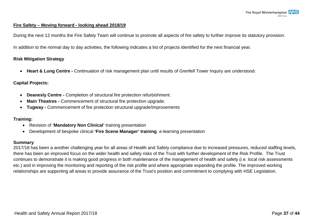#### **Fire Safety – Moving forward - looking ahead 2018/19**

During the next 12 months the Fire Safety Team will continue to promote all aspects of fire safety to further improve its statutory provision.

In addition to the normal day to day activities, the following indicates a list of projects identified for the next financial year.

#### **Risk Mitigation Strategy**

• **Heart & Lung Centre -** Continuation of risk management plan until results of Grenfell Tower Inquiry are understood.

#### **Capital Projects:**

- **Deanesly Centre -** Completion of structural fire protection refurbishment.
- **Main Theatres -** Commencement of structural fire protection upgrade.
- **Tugway -** Commencement of fire protection structural upgrade/improvements

#### **Training:**

- Revision of '**Mandatory Non Clinical'** training presentation
- Development of bespoke clinical **'Fire Scene Manager' training** e-learning presentation

#### **Summary**

2017/18 has been a another challenging year for all areas of Health and Safety compliance due to increased pressures, reduced staffing levels, there has been an improved focus on the wider health and safety risks of the Trust with further development of the Risk Profile. The Trust continues to demonstrate it is making good progress in both maintenance of the management of health and safety (i.e. local risk assessments etc.) and in improving the monitoring and reporting of the risk profile and where appropriate expanding the profile. The improved working relationships are supporting all areas to provide assurance of the Trust's position and commitment to complying with HSE Legislation.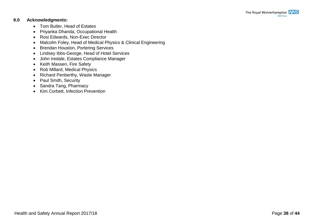#### <span id="page-40-0"></span>**9.0 Acknowledgments:**

- Tom Butler, Head of Estates
- Priyanka Dhanda, Occupational Health
- Rosi Edwards, Non-Exec Director
- Malcolm Foley, Head of Medical Physics & Clinical Engineering
- Brendan Houston, Portering Services
- Lindsey Ibbs-George, Head of Hotel Services
- John Iredale, Estates Compliance Manager
- Keith Massen, Fire Safety
- Rob Millard, Medical Physics
- Richard Penberthy, Waste Manager
- Paul Smith, Security
- Sandra Tang, Pharmacy
- Kim Corbett, Infection Prevention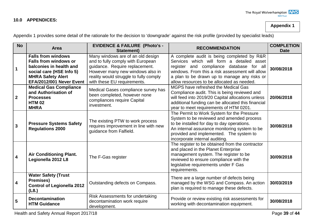#### <span id="page-41-0"></span>**10.0 APPENDICES:**

**Appendix 1**

| <b>No</b>      | Area                                                                                                                                                                     | <b>EVIDENCE &amp; FAILURE (Photo's -</b><br><b>Statement)</b>                                                                                                                                                         | <b>RECOMMENDATION</b>                                                                                                                                                                                                                                                                | <b>COMPLETION</b><br><b>Date</b> |
|----------------|--------------------------------------------------------------------------------------------------------------------------------------------------------------------------|-----------------------------------------------------------------------------------------------------------------------------------------------------------------------------------------------------------------------|--------------------------------------------------------------------------------------------------------------------------------------------------------------------------------------------------------------------------------------------------------------------------------------|----------------------------------|
| 1              | <b>Falls from windows</b><br><b>Falls from windows or</b><br>balconies in health and<br>social care (HSE Info 5)<br><b>MHRA Safety Alert</b><br>EFA/2012/001 Never Event | Many windows are of an old design<br>and to fully comply with European<br>guidance. Require replacement.<br>However many new windows also in<br>reality would struggle to fully comply<br>with these EU requirements. | A complete audit is being completed by R&R<br>Services which will form a detailed asset<br>register and compliance database for all<br>windows. From this a risk assessment will allow<br>a plan to be drawn up to manage any risks or<br>allow resources to be allocated as needed. | 30/08/2018                       |
| $\mathbf{2}$   | <b>Medical Gas Compliance</b><br>and Authorisation of<br><b>Processes</b><br><b>HTM 02</b><br><b>MHRA</b>                                                                | Medical Gases compliance survey has<br>been completed, however none<br>compliances require Capital<br>investment.                                                                                                     | MGPS have refreshed the Medical Gas<br>Compliance audit. This is being reviewed and<br>will feed into 2019/20 Capital allocations unless<br>additional funding can be allocated this financial<br>year to meet requirements of HTM 0201.                                             | 20/06/2018                       |
| $\overline{3}$ | <b>Pressure Systems Safety</b><br><b>Regulations 2000</b>                                                                                                                | The existing PTW to work process<br>requires improvement in line with new<br>guidance from Falfield.                                                                                                                  | The Permit to Work System for the Pressure<br>System to be reviewed and amended process<br>to be installed for day to day operations.<br>An internal assurance monitoring system to be<br>provided and implemented. The system to<br>incorporate internal auditing.                  | 30/08/2018                       |
| 4              | <b>Air Conditioning Plant.</b><br>Legionella 2012 L8                                                                                                                     | The F-Gas register                                                                                                                                                                                                    | The register to be obtained from the contractor<br>and placed in the Planet Enterprise<br>management system. The register to be<br>reviewed to ensure compliance with the<br>legislative requirements under F Gas<br>requirements.                                                   | 30/09/2018                       |
| 4              | <b>Water Safety (Trust</b><br><b>Premises)</b><br><b>Control of Legionella 2012</b><br>(L8.)                                                                             | Outstanding defects on Compass.                                                                                                                                                                                       | There are a large number of defects being<br>managed by the WSG and Compass. An action<br>plan is required to manage these defects.                                                                                                                                                  | 30/03/2019                       |
| 5              | <b>Decontamination</b><br><b>HTM Guidance</b>                                                                                                                            | Risk Assessments for undertaking<br>decontamination work require<br>development.                                                                                                                                      | Provide or review existing risk assessments for<br>working with decontamination equipment.                                                                                                                                                                                           | 30/08/2018                       |

Appendix 1 provides some detail of the rationale for the decision to 'downgrade' against the risk profile (provided by specialist leads)

Health and Safety Annual Report 2017/18 **Page 39 of 44** Page 39 of 44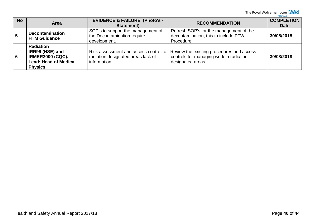The Royal Wolverhampton  $\frac{NHS}{NHS\text{ Trust}}$ 

| <b>No</b> | Area                                                                                                             | <b>EVIDENCE &amp; FAILURE (Photo's -</b><br>Statement)                                      | <b>RECOMMENDATION</b>                                                                                     | <b>COMPLETION</b><br><b>Date</b> |
|-----------|------------------------------------------------------------------------------------------------------------------|---------------------------------------------------------------------------------------------|-----------------------------------------------------------------------------------------------------------|----------------------------------|
| 5         | <b>Decontamination</b><br><b>HTM Guidance</b>                                                                    | SOP's to support the management of<br>the Decontamination require<br>development.           | Refresh SOP's for the management of the<br>decontamination, this to include PTW<br>Procedure.             | 30/08/2018                       |
| 6         | <b>Radiation</b><br>IRR99 (HSE) and<br><b>IRMER2000 (CQC).</b><br><b>Lead: Head of Medical</b><br><b>Physics</b> | Risk assessment and access control to<br>radiation designated areas lack of<br>information. | Review the existing procedures and access<br>controls for managing work in radiation<br>designated areas. | 30/08/2018                       |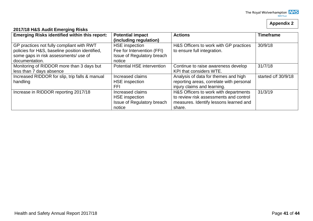# **Appendix 2**

| 2017/18 H&S Audit Emerging Risks |
|----------------------------------|
|----------------------------------|

| <b>Emerging Risks identified within this report:</b>                                                                                                    | <b>Potential impact</b><br>(including regulation)                                           | <b>Actions</b>                                                                                                                      | <b>Timeframe</b>    |
|---------------------------------------------------------------------------------------------------------------------------------------------------------|---------------------------------------------------------------------------------------------|-------------------------------------------------------------------------------------------------------------------------------------|---------------------|
| GP practices not fully compliant with RWT<br>policies for H&S, baseline position identified,<br>some gaps in risk assessments/ use of<br>documentation. | <b>HSE</b> inspection<br>Fee for Intervention (FFI)<br>Issue of Regulatory breach<br>notice | H&S Officers to work with GP practices<br>to ensure full integration.                                                               | 30/9/18             |
| Monitoring of RIDDOR more than 3 days but<br>less than 7 days absence                                                                                   | Potential HSE intervention                                                                  | Continue to raise awareness develop<br>KPI that considers WTE.                                                                      | 31/7/18             |
| Increased RIDDOR for slip, trip falls & manual<br>handling                                                                                              | Increased claims<br><b>HSE</b> inspection<br>FFI                                            | Analysis of data for themes and high<br>reporting areas, correlate with personal<br>injury claims and learning.                     | started c/f 30/9/18 |
| Increase in RIDDOR reporting 2017/18                                                                                                                    | Increased claims<br><b>HSE</b> inspection<br>Issue of Regulatory breach<br>notice           | H&S Officers to work with departments<br>to review risk assessments and control<br>measures. Identify lessons learned and<br>share. | 31/3/19             |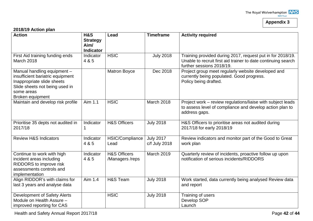# **Appendix 3**

#### **2018/19 Action plan**

| <b>Action</b>                                                                                                                                 | <b>H&amp;S</b>                              | Lead                                       | <b>Timeframe</b>                  | <b>Activity required</b>                                                                                                                                 |
|-----------------------------------------------------------------------------------------------------------------------------------------------|---------------------------------------------|--------------------------------------------|-----------------------------------|----------------------------------------------------------------------------------------------------------------------------------------------------------|
|                                                                                                                                               | <b>Strategy</b><br>Aim/<br><b>Indicator</b> |                                            |                                   |                                                                                                                                                          |
| First Aid training funding ends<br><b>March 2018</b>                                                                                          | Indicator<br>4 & 5                          | <b>HSIC</b>                                | <b>July 2018</b>                  | Training provided during 2017, request put in for 2018/19.<br>Unable to recruit first aid trainer to date continuing search<br>further sessions 2018/19. |
| Manual handling equipment -<br>insufficient bariatric equipment<br>Inappropriate slide sheets<br>Slide sheets not being used in<br>some areas |                                             | <b>Matron Boyce</b>                        | Dec 2018                          | Project group meet regularly website developed and<br>currently being populated. Good progress.<br>Policy being drafted.                                 |
| Broken equipment                                                                                                                              |                                             |                                            |                                   |                                                                                                                                                          |
| Maintain and develop risk profile                                                                                                             | Aim 1.1                                     | <b>HSIC</b>                                | March 2018                        | Project work - review regulations/liaise with subject leads<br>to assess level of compliance and develop action plan to<br>address gaps.                 |
| Prioritise 35 depts not audited in<br>2017/18                                                                                                 | Indicator                                   | <b>H&amp;S Officers</b>                    | <b>July 2018</b>                  | H&S Officers to prioritise areas not audited during<br>2017/18 for early 2018/19                                                                         |
| <b>Review H&amp;S Indicators</b>                                                                                                              | Indicator<br>4 & 5                          | HSIC/Compliance<br>Lead                    | <b>July 2017</b><br>c/f July 2018 | Review indicators and monitor part of the Good to Great<br>work plan                                                                                     |
| Continue to work with high<br>incident areas including<br>RIDDORS to improve risk<br>assessments controls and<br>implementation               | Indicator<br>4 & 5                          | <b>H&amp;S Officers</b><br>/Managers /reps | <b>March 2019</b>                 | Quarterly review of incidents, proactive follow up upon<br>notification of serious incidents/RIDDORS                                                     |
| Align RIDDOR's with claims for<br>last 3 years and analyse data                                                                               | Aim 1.4                                     | H&S Team                                   | <b>July 2018</b>                  | Work started, data currently being analysed Review data<br>and report                                                                                    |
| Development of Safety Alerts<br>Module on Health Assure -<br>improved reporting for CAS                                                       |                                             | <b>HSIC</b>                                | <b>July 2018</b>                  | Training of users<br>Develop SOP<br>Launch                                                                                                               |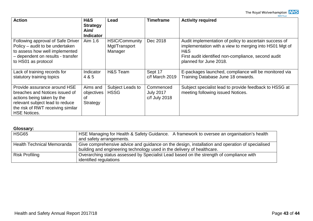| <b>Action</b>                                                                                                                                                                               | H&S<br><b>Strategy</b><br>Aim/<br><b>Indicator</b> | Lead                                              | <b>Timeframe</b>                               | <b>Activity required</b>                                                                                                                                                                                 |
|---------------------------------------------------------------------------------------------------------------------------------------------------------------------------------------------|----------------------------------------------------|---------------------------------------------------|------------------------------------------------|----------------------------------------------------------------------------------------------------------------------------------------------------------------------------------------------------------|
| Following approval of Safe Driver<br>Policy – audit to be undertaken<br>to assess how well implemented<br>- dependent on results - transfer<br>to HS01 as protocol                          | Aim 1.6                                            | <b>HSIC/Community</b><br>Mgt/Transport<br>Manager | Dec 2018                                       | Audit implementation of policy to ascertain success of<br>implementation with a view to merging into HS01 Mgt of<br>H&S<br>First audit identified non-compliance, second audit<br>planned for June 2018. |
| Lack of training records for<br>statutory training topics                                                                                                                                   | Indicator<br>4 & 5                                 | H&S Team                                          | Sept 17<br>$c/f$ March 2019                    | E-packages launched, compliance will be monitored via<br>Training Database June 18 onwards.                                                                                                              |
| Provide assurance around HSE<br>breaches and Notices issued of<br>actions being taken by the<br>relevant subject lead to reduce<br>the risk of RWT receiving similar<br><b>HSE Notices.</b> | Aims and<br>objectives<br>οf<br>Strategy           | Subject Leads to<br><b>HSSG</b>                   | Commenced<br><b>July 2017</b><br>c/f July 2018 | Subject specialist lead to provide feedback to HSSG at<br>meeting following issued Notices.                                                                                                              |

#### **Glossary:**

| HSG65                             | HSE Managing for Health & Safety Guidance. A framework to oversee an organisation's health                        |
|-----------------------------------|-------------------------------------------------------------------------------------------------------------------|
|                                   |                                                                                                                   |
|                                   | and safety arrangements.                                                                                          |
| <b>Health Technical Memoranda</b> | Give comprehensive advice and guidance on the design, installation and operation of specialised                   |
|                                   |                                                                                                                   |
|                                   | building and engineering technology used in the delivery of healthcare.                                           |
|                                   |                                                                                                                   |
|                                   |                                                                                                                   |
|                                   |                                                                                                                   |
| <b>Risk Profiling</b>             | Overarching status assessed by Specialist Lead based on the strength of compliance with<br>identified regulations |